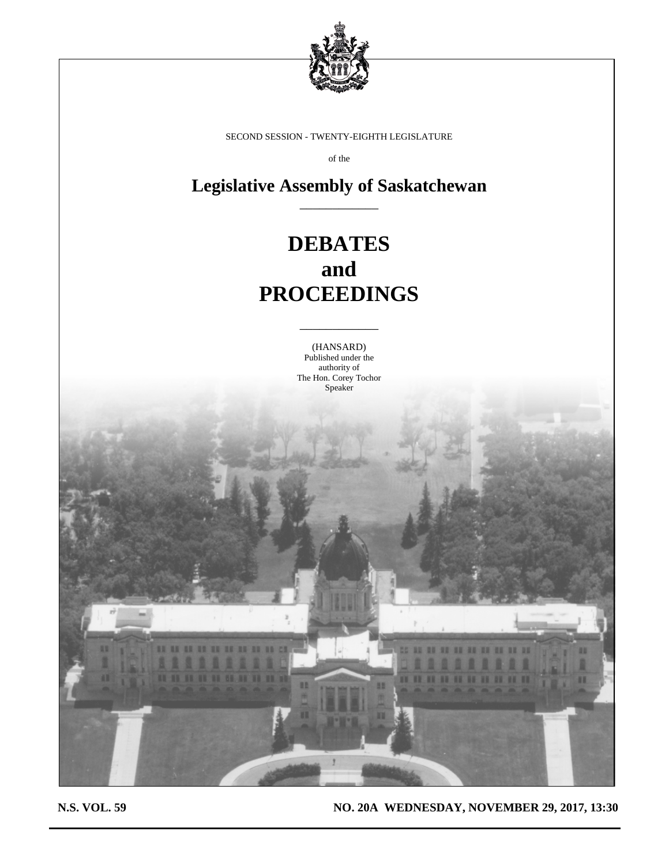

SECOND SESSION - TWENTY-EIGHTH LEGISLATURE

of the

**Legislative Assembly of Saskatchewan** \_\_\_\_\_\_\_\_\_\_\_\_

# **DEBATES and PROCEEDINGS**

(HANSARD) Published under the authority of The Hon. Corey Tochor Speaker

\_\_\_\_\_\_\_\_\_\_\_\_

**N.S. VOL. 59 NO. 20A WEDNESDAY, NOVEMBER 29, 2017, 13:30**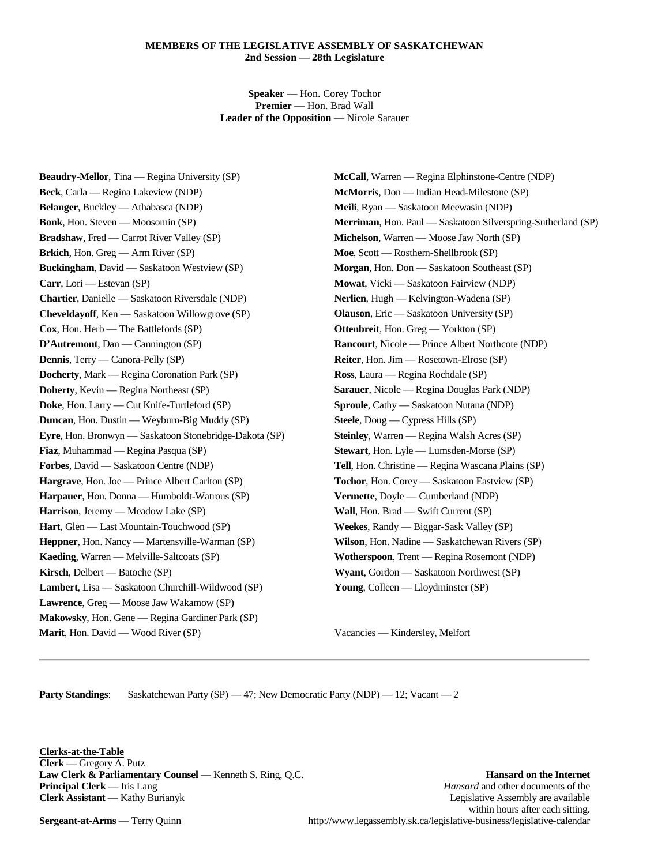# **MEMBERS OF THE LEGISLATIVE ASSEMBLY OF SASKATCHEWAN 2nd Session — 28th Legislature**

**Speaker** — Hon. Corey Tochor **Premier** — Hon. Brad Wall **Leader of the Opposition** — Nicole Sarauer

**Beaudry-Mellor**, Tina — Regina University (SP) **Beck**, Carla — Regina Lakeview (NDP) **Belanger**, Buckley — Athabasca (NDP) **Bonk**, Hon. Steven — Moosomin (SP) **Bradshaw**, Fred — Carrot River Valley (SP) **Brkich**, Hon. Greg — Arm River (SP) **Buckingham**, David — Saskatoon Westview (SP) **Carr**, Lori — Estevan (SP) **Chartier**, Danielle — Saskatoon Riversdale (NDP) **Cheveldayoff**, Ken — Saskatoon Willowgrove (SP) **Cox**, Hon. Herb — The Battlefords (SP) **D'Autremont**, Dan — Cannington (SP) **Dennis**, Terry — Canora-Pelly (SP) **Docherty**, Mark — Regina Coronation Park (SP) **Doherty**, Kevin — Regina Northeast (SP) **Doke**, Hon. Larry — Cut Knife-Turtleford (SP) **Duncan**, Hon. Dustin — Weyburn-Big Muddy (SP) **Eyre**, Hon. Bronwyn — Saskatoon Stonebridge-Dakota (SP) **Fiaz**, Muhammad — Regina Pasqua (SP) **Forbes**, David — Saskatoon Centre (NDP) **Hargrave**, Hon. Joe — Prince Albert Carlton (SP) **Harpauer**, Hon. Donna — Humboldt-Watrous (SP) **Harrison**, Jeremy — Meadow Lake (SP) **Hart**, Glen — Last Mountain-Touchwood (SP) **Heppner**, Hon. Nancy — Martensville-Warman (SP) **Kaeding**, Warren — Melville-Saltcoats (SP) **Kirsch**, Delbert — Batoche (SP) **Lambert**, Lisa — Saskatoon Churchill-Wildwood (SP) **Lawrence**, Greg — Moose Jaw Wakamow (SP) **Makowsky**, Hon. Gene — Regina Gardiner Park (SP) **Marit**, Hon. David — Wood River (SP)

**McCall**, Warren — Regina Elphinstone-Centre (NDP) **McMorris**, Don — Indian Head-Milestone (SP) **Meili**, Ryan — Saskatoon Meewasin (NDP) **Merriman**, Hon. Paul — Saskatoon Silverspring-Sutherland (SP) **Michelson**, Warren — Moose Jaw North (SP) **Moe**, Scott — Rosthern-Shellbrook (SP) **Morgan**, Hon. Don — Saskatoon Southeast (SP) **Mowat**, Vicki — Saskatoon Fairview (NDP) **Nerlien**, Hugh — Kelvington-Wadena (SP) **Olauson**, Eric — Saskatoon University (SP) **Ottenbreit**, Hon. Greg — Yorkton (SP) **Rancourt**, Nicole — Prince Albert Northcote (NDP) **Reiter**, Hon. Jim — Rosetown-Elrose (SP) **Ross**, Laura — Regina Rochdale (SP) **Sarauer**, Nicole — Regina Douglas Park (NDP) **Sproule**, Cathy — Saskatoon Nutana (NDP) **Steele**, Doug — Cypress Hills (SP) **Steinley**, Warren — Regina Walsh Acres (SP) **Stewart**, Hon. Lyle — Lumsden-Morse (SP) **Tell**, Hon. Christine — Regina Wascana Plains (SP) **Tochor**, Hon. Corey — Saskatoon Eastview (SP) **Vermette**, Doyle — Cumberland (NDP) **Wall**, Hon. Brad — Swift Current (SP) **Weekes**, Randy — Biggar-Sask Valley (SP) **Wilson**, Hon. Nadine — Saskatchewan Rivers (SP) **Wotherspoon**, Trent — Regina Rosemont (NDP) **Wyant**, Gordon — Saskatoon Northwest (SP) **Young**, Colleen — Lloydminster (SP)

Vacancies — Kindersley, Melfort

**Party Standings:** Saskatchewan Party (SP) — 47; New Democratic Party (NDP) — 12; Vacant — 2

**Clerks-at-the-Table Clerk** — Gregory A. Putz **Law Clerk & Parliamentary Counsel** — Kenneth S. Ring, Q.C. **Hansard on the Internet**<br>**Principal Clerk** — Iris Lang **Hansard and other documents** of the *Hansard* and other documents of the

Hansard and other documents of the **Clerk Assistant** — Kathy Burianyk **Legislative Assembly are available** Legislative Assembly are available within hours after each sitting. **Sergeant-at-Arms** — Terry Quinn http://www.legassembly.sk.ca/legislative-business/legislative-calendar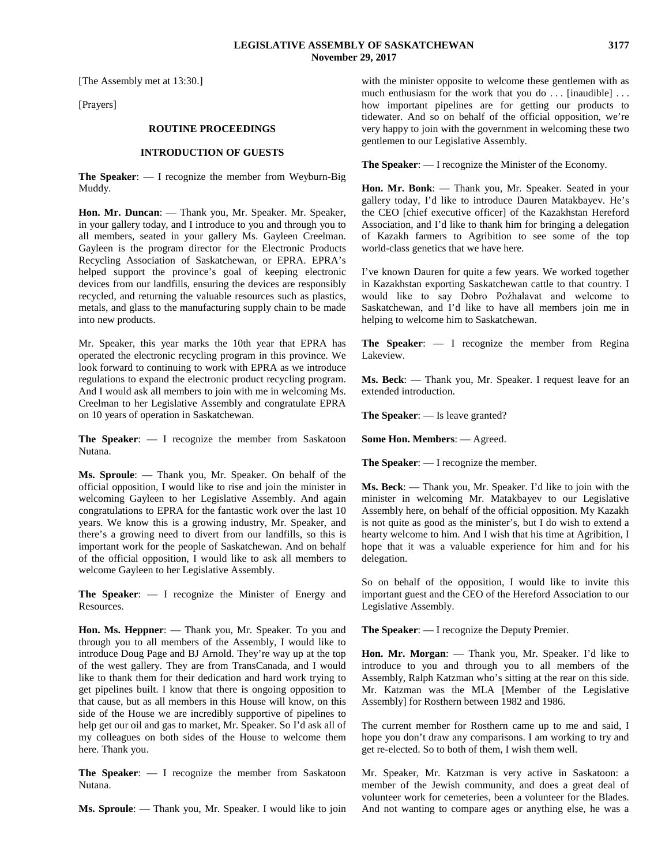[The Assembly met at 13:30.]

[Prayers]

#### **ROUTINE PROCEEDINGS**

#### **INTRODUCTION OF GUESTS**

**The Speaker**: — I recognize the member from Weyburn-Big Muddy.

**Hon. Mr. Duncan**: — Thank you, Mr. Speaker. Mr. Speaker, in your gallery today, and I introduce to you and through you to all members, seated in your gallery Ms. Gayleen Creelman. Gayleen is the program director for the Electronic Products Recycling Association of Saskatchewan, or EPRA. EPRA's helped support the province's goal of keeping electronic devices from our landfills, ensuring the devices are responsibly recycled, and returning the valuable resources such as plastics, metals, and glass to the manufacturing supply chain to be made into new products.

Mr. Speaker, this year marks the 10th year that EPRA has operated the electronic recycling program in this province. We look forward to continuing to work with EPRA as we introduce regulations to expand the electronic product recycling program. And I would ask all members to join with me in welcoming Ms. Creelman to her Legislative Assembly and congratulate EPRA on 10 years of operation in Saskatchewan.

**The Speaker**: — I recognize the member from Saskatoon Nutana.

**Ms. Sproule**: — Thank you, Mr. Speaker. On behalf of the official opposition, I would like to rise and join the minister in welcoming Gayleen to her Legislative Assembly. And again congratulations to EPRA for the fantastic work over the last 10 years. We know this is a growing industry, Mr. Speaker, and there's a growing need to divert from our landfills, so this is important work for the people of Saskatchewan. And on behalf of the official opposition, I would like to ask all members to welcome Gayleen to her Legislative Assembly.

**The Speaker**: — I recognize the Minister of Energy and Resources.

**Hon. Ms. Heppner**: — Thank you, Mr. Speaker. To you and through you to all members of the Assembly, I would like to introduce Doug Page and BJ Arnold. They're way up at the top of the west gallery. They are from TransCanada, and I would like to thank them for their dedication and hard work trying to get pipelines built. I know that there is ongoing opposition to that cause, but as all members in this House will know, on this side of the House we are incredibly supportive of pipelines to help get our oil and gas to market, Mr. Speaker. So I'd ask all of my colleagues on both sides of the House to welcome them here. Thank you.

**The Speaker**: — I recognize the member from Saskatoon Nutana.

**Ms. Sproule**: — Thank you, Mr. Speaker. I would like to join

with the minister opposite to welcome these gentlemen with as much enthusiasm for the work that you do ... [inaudible] ... how important pipelines are for getting our products to tidewater. And so on behalf of the official opposition, we're very happy to join with the government in welcoming these two gentlemen to our Legislative Assembly.

**The Speaker**: — I recognize the Minister of the Economy.

**Hon. Mr. Bonk**: — Thank you, Mr. Speaker. Seated in your gallery today, I'd like to introduce Dauren Matakbayev. He's the CEO [chief executive officer] of the Kazakhstan Hereford Association, and I'd like to thank him for bringing a delegation of Kazakh farmers to Agribition to see some of the top world-class genetics that we have here.

I've known Dauren for quite a few years. We worked together in Kazakhstan exporting Saskatchewan cattle to that country. I would like to say Dobro Poźhalavat and welcome to Saskatchewan, and I'd like to have all members join me in helping to welcome him to Saskatchewan.

**The Speaker**: — I recognize the member from Regina Lakeview.

**Ms. Beck**: — Thank you, Mr. Speaker. I request leave for an extended introduction.

**The Speaker**: — Is leave granted?

**Some Hon. Members**: — Agreed.

**The Speaker**: — I recognize the member.

**Ms. Beck**: — Thank you, Mr. Speaker. I'd like to join with the minister in welcoming Mr. Matakbayev to our Legislative Assembly here, on behalf of the official opposition. My Kazakh is not quite as good as the minister's, but I do wish to extend a hearty welcome to him. And I wish that his time at Agribition, I hope that it was a valuable experience for him and for his delegation.

So on behalf of the opposition, I would like to invite this important guest and the CEO of the Hereford Association to our Legislative Assembly.

**The Speaker**: — I recognize the Deputy Premier.

**Hon. Mr. Morgan**: — Thank you, Mr. Speaker. I'd like to introduce to you and through you to all members of the Assembly, Ralph Katzman who's sitting at the rear on this side. Mr. Katzman was the MLA [Member of the Legislative Assembly] for Rosthern between 1982 and 1986.

The current member for Rosthern came up to me and said, I hope you don't draw any comparisons. I am working to try and get re-elected. So to both of them, I wish them well.

Mr. Speaker, Mr. Katzman is very active in Saskatoon: a member of the Jewish community, and does a great deal of volunteer work for cemeteries, been a volunteer for the Blades. And not wanting to compare ages or anything else, he was a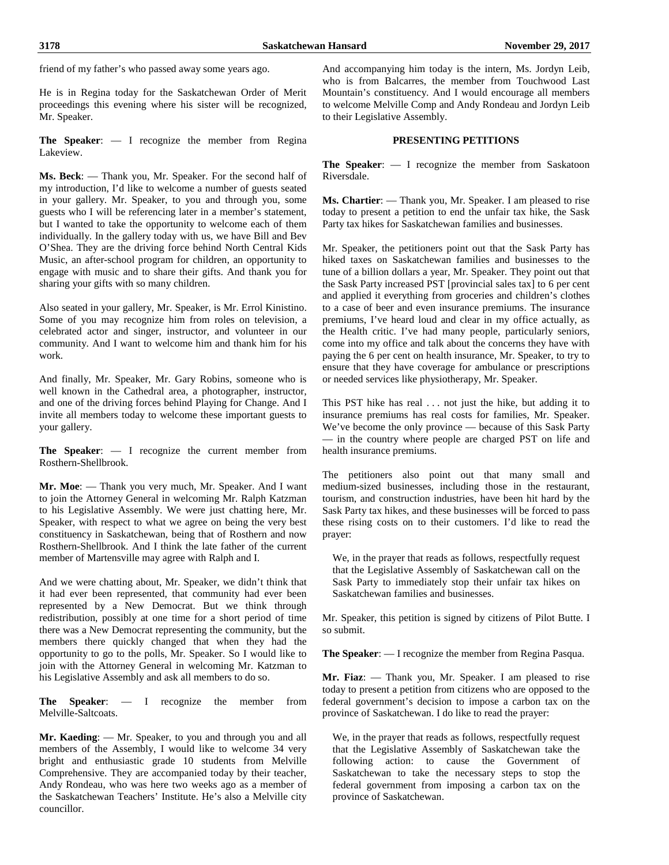friend of my father's who passed away some years ago.

He is in Regina today for the Saskatchewan Order of Merit proceedings this evening where his sister will be recognized, Mr. Speaker.

**The Speaker**: — I recognize the member from Regina Lakeview.

**Ms. Beck**: — Thank you, Mr. Speaker. For the second half of my introduction, I'd like to welcome a number of guests seated in your gallery. Mr. Speaker, to you and through you, some guests who I will be referencing later in a member's statement, but I wanted to take the opportunity to welcome each of them individually. In the gallery today with us, we have Bill and Bev O'Shea. They are the driving force behind North Central Kids Music, an after-school program for children, an opportunity to engage with music and to share their gifts. And thank you for sharing your gifts with so many children.

Also seated in your gallery, Mr. Speaker, is Mr. Errol Kinistino. Some of you may recognize him from roles on television, a celebrated actor and singer, instructor, and volunteer in our community. And I want to welcome him and thank him for his work.

And finally, Mr. Speaker, Mr. Gary Robins, someone who is well known in the Cathedral area, a photographer, instructor, and one of the driving forces behind Playing for Change. And I invite all members today to welcome these important guests to your gallery.

**The Speaker**: — I recognize the current member from Rosthern-Shellbrook.

**Mr. Moe**: — Thank you very much, Mr. Speaker. And I want to join the Attorney General in welcoming Mr. Ralph Katzman to his Legislative Assembly. We were just chatting here, Mr. Speaker, with respect to what we agree on being the very best constituency in Saskatchewan, being that of Rosthern and now Rosthern-Shellbrook. And I think the late father of the current member of Martensville may agree with Ralph and I.

And we were chatting about, Mr. Speaker, we didn't think that it had ever been represented, that community had ever been represented by a New Democrat. But we think through redistribution, possibly at one time for a short period of time there was a New Democrat representing the community, but the members there quickly changed that when they had the opportunity to go to the polls, Mr. Speaker. So I would like to join with the Attorney General in welcoming Mr. Katzman to his Legislative Assembly and ask all members to do so.

**The Speaker**: — I recognize the member from Melville-Saltcoats.

**Mr. Kaeding**: — Mr. Speaker, to you and through you and all members of the Assembly, I would like to welcome 34 very bright and enthusiastic grade 10 students from Melville Comprehensive. They are accompanied today by their teacher, Andy Rondeau, who was here two weeks ago as a member of the Saskatchewan Teachers' Institute. He's also a Melville city councillor.

And accompanying him today is the intern, Ms. Jordyn Leib, who is from Balcarres, the member from Touchwood Last Mountain's constituency. And I would encourage all members to welcome Melville Comp and Andy Rondeau and Jordyn Leib to their Legislative Assembly.

# **PRESENTING PETITIONS**

**The Speaker**: — I recognize the member from Saskatoon Riversdale.

**Ms. Chartier**: — Thank you, Mr. Speaker. I am pleased to rise today to present a petition to end the unfair tax hike, the Sask Party tax hikes for Saskatchewan families and businesses.

Mr. Speaker, the petitioners point out that the Sask Party has hiked taxes on Saskatchewan families and businesses to the tune of a billion dollars a year, Mr. Speaker. They point out that the Sask Party increased PST [provincial sales tax] to 6 per cent and applied it everything from groceries and children's clothes to a case of beer and even insurance premiums. The insurance premiums, I've heard loud and clear in my office actually, as the Health critic. I've had many people, particularly seniors, come into my office and talk about the concerns they have with paying the 6 per cent on health insurance, Mr. Speaker, to try to ensure that they have coverage for ambulance or prescriptions or needed services like physiotherapy, Mr. Speaker.

This PST hike has real . . . not just the hike, but adding it to insurance premiums has real costs for families, Mr. Speaker. We've become the only province — because of this Sask Party — in the country where people are charged PST on life and health insurance premiums.

The petitioners also point out that many small and medium-sized businesses, including those in the restaurant, tourism, and construction industries, have been hit hard by the Sask Party tax hikes, and these businesses will be forced to pass these rising costs on to their customers. I'd like to read the prayer:

We, in the prayer that reads as follows, respectfully request that the Legislative Assembly of Saskatchewan call on the Sask Party to immediately stop their unfair tax hikes on Saskatchewan families and businesses.

Mr. Speaker, this petition is signed by citizens of Pilot Butte. I so submit.

**The Speaker**: — I recognize the member from Regina Pasqua.

**Mr. Fiaz**: — Thank you, Mr. Speaker. I am pleased to rise today to present a petition from citizens who are opposed to the federal government's decision to impose a carbon tax on the province of Saskatchewan. I do like to read the prayer:

We, in the prayer that reads as follows, respectfully request that the Legislative Assembly of Saskatchewan take the following action: to cause the Government of Saskatchewan to take the necessary steps to stop the federal government from imposing a carbon tax on the province of Saskatchewan.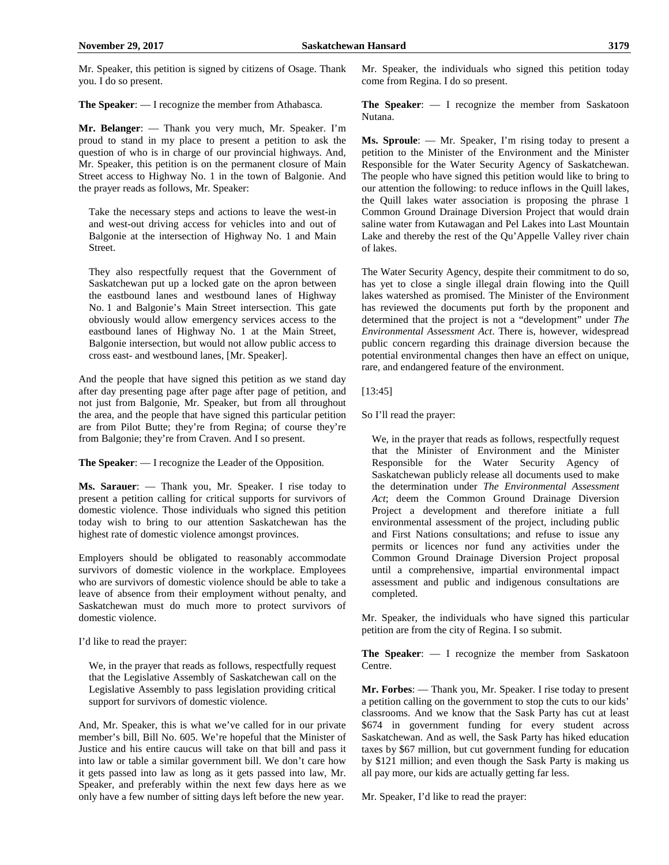Mr. Speaker, this petition is signed by citizens of Osage. Thank you. I do so present.

**The Speaker**: — I recognize the member from Athabasca.

**Mr. Belanger**: — Thank you very much, Mr. Speaker. I'm proud to stand in my place to present a petition to ask the question of who is in charge of our provincial highways. And, Mr. Speaker, this petition is on the permanent closure of Main Street access to Highway No. 1 in the town of Balgonie. And the prayer reads as follows, Mr. Speaker:

Take the necessary steps and actions to leave the west-in and west-out driving access for vehicles into and out of Balgonie at the intersection of Highway No. 1 and Main Street.

They also respectfully request that the Government of Saskatchewan put up a locked gate on the apron between the eastbound lanes and westbound lanes of Highway No. 1 and Balgonie's Main Street intersection. This gate obviously would allow emergency services access to the eastbound lanes of Highway No. 1 at the Main Street, Balgonie intersection, but would not allow public access to cross east- and westbound lanes, [Mr. Speaker].

And the people that have signed this petition as we stand day after day presenting page after page after page of petition, and not just from Balgonie, Mr. Speaker, but from all throughout the area, and the people that have signed this particular petition are from Pilot Butte; they're from Regina; of course they're from Balgonie; they're from Craven. And I so present.

**The Speaker**: — I recognize the Leader of the Opposition.

**Ms. Sarauer**: — Thank you, Mr. Speaker. I rise today to present a petition calling for critical supports for survivors of domestic violence. Those individuals who signed this petition today wish to bring to our attention Saskatchewan has the highest rate of domestic violence amongst provinces.

Employers should be obligated to reasonably accommodate survivors of domestic violence in the workplace. Employees who are survivors of domestic violence should be able to take a leave of absence from their employment without penalty, and Saskatchewan must do much more to protect survivors of domestic violence.

I'd like to read the prayer:

We, in the prayer that reads as follows, respectfully request that the Legislative Assembly of Saskatchewan call on the Legislative Assembly to pass legislation providing critical support for survivors of domestic violence.

And, Mr. Speaker, this is what we've called for in our private member's bill, Bill No. 605. We're hopeful that the Minister of Justice and his entire caucus will take on that bill and pass it into law or table a similar government bill. We don't care how it gets passed into law as long as it gets passed into law, Mr. Speaker, and preferably within the next few days here as we only have a few number of sitting days left before the new year.

Mr. Speaker, the individuals who signed this petition today come from Regina. I do so present.

**The Speaker**: — I recognize the member from Saskatoon Nutana.

**Ms. Sproule**: — Mr. Speaker, I'm rising today to present a petition to the Minister of the Environment and the Minister Responsible for the Water Security Agency of Saskatchewan. The people who have signed this petition would like to bring to our attention the following: to reduce inflows in the Quill lakes, the Quill lakes water association is proposing the phrase 1 Common Ground Drainage Diversion Project that would drain saline water from Kutawagan and Pel Lakes into Last Mountain Lake and thereby the rest of the Qu'Appelle Valley river chain of lakes.

The Water Security Agency, despite their commitment to do so, has yet to close a single illegal drain flowing into the Quill lakes watershed as promised. The Minister of the Environment has reviewed the documents put forth by the proponent and determined that the project is not a "development" under *The Environmental Assessment Act*. There is, however, widespread public concern regarding this drainage diversion because the potential environmental changes then have an effect on unique, rare, and endangered feature of the environment.

[13:45]

So I'll read the prayer:

We, in the prayer that reads as follows, respectfully request that the Minister of Environment and the Minister Responsible for the Water Security Agency of Saskatchewan publicly release all documents used to make the determination under *The Environmental Assessment Act*; deem the Common Ground Drainage Diversion Project a development and therefore initiate a full environmental assessment of the project, including public and First Nations consultations; and refuse to issue any permits or licences nor fund any activities under the Common Ground Drainage Diversion Project proposal until a comprehensive, impartial environmental impact assessment and public and indigenous consultations are completed.

Mr. Speaker, the individuals who have signed this particular petition are from the city of Regina. I so submit.

**The Speaker**: — I recognize the member from Saskatoon Centre.

**Mr. Forbes**: — Thank you, Mr. Speaker. I rise today to present a petition calling on the government to stop the cuts to our kids' classrooms. And we know that the Sask Party has cut at least \$674 in government funding for every student across Saskatchewan. And as well, the Sask Party has hiked education taxes by \$67 million, but cut government funding for education by \$121 million; and even though the Sask Party is making us all pay more, our kids are actually getting far less.

Mr. Speaker, I'd like to read the prayer: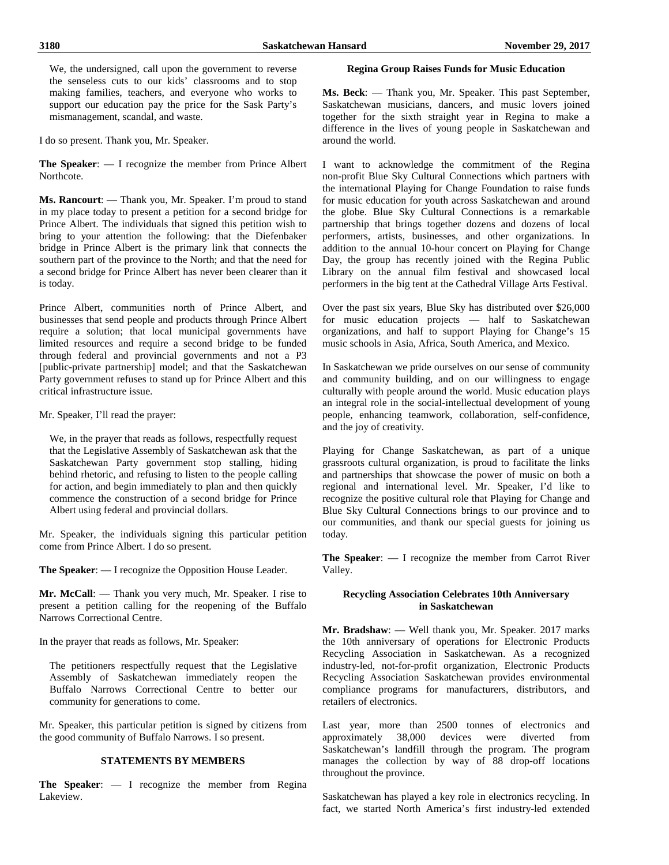We, the undersigned, call upon the government to reverse the senseless cuts to our kids' classrooms and to stop making families, teachers, and everyone who works to support our education pay the price for the Sask Party's mismanagement, scandal, and waste.

I do so present. Thank you, Mr. Speaker.

**The Speaker**: — I recognize the member from Prince Albert Northcote.

**Ms. Rancourt**: — Thank you, Mr. Speaker. I'm proud to stand in my place today to present a petition for a second bridge for Prince Albert. The individuals that signed this petition wish to bring to your attention the following: that the Diefenbaker bridge in Prince Albert is the primary link that connects the southern part of the province to the North; and that the need for a second bridge for Prince Albert has never been clearer than it is today.

Prince Albert, communities north of Prince Albert, and businesses that send people and products through Prince Albert require a solution; that local municipal governments have limited resources and require a second bridge to be funded through federal and provincial governments and not a P3 [public-private partnership] model; and that the Saskatchewan Party government refuses to stand up for Prince Albert and this critical infrastructure issue.

Mr. Speaker, I'll read the prayer:

We, in the prayer that reads as follows, respectfully request that the Legislative Assembly of Saskatchewan ask that the Saskatchewan Party government stop stalling, hiding behind rhetoric, and refusing to listen to the people calling for action, and begin immediately to plan and then quickly commence the construction of a second bridge for Prince Albert using federal and provincial dollars.

Mr. Speaker, the individuals signing this particular petition come from Prince Albert. I do so present.

**The Speaker**: — I recognize the Opposition House Leader.

**Mr. McCall**: — Thank you very much, Mr. Speaker. I rise to present a petition calling for the reopening of the Buffalo Narrows Correctional Centre.

In the prayer that reads as follows, Mr. Speaker:

The petitioners respectfully request that the Legislative Assembly of Saskatchewan immediately reopen the Buffalo Narrows Correctional Centre to better our community for generations to come.

Mr. Speaker, this particular petition is signed by citizens from the good community of Buffalo Narrows. I so present.

# **STATEMENTS BY MEMBERS**

**The Speaker**: — I recognize the member from Regina Lakeview.

# **Regina Group Raises Funds for Music Education**

**Ms. Beck**: — Thank you, Mr. Speaker. This past September, Saskatchewan musicians, dancers, and music lovers joined together for the sixth straight year in Regina to make a difference in the lives of young people in Saskatchewan and around the world.

I want to acknowledge the commitment of the Regina non-profit Blue Sky Cultural Connections which partners with the international Playing for Change Foundation to raise funds for music education for youth across Saskatchewan and around the globe. Blue Sky Cultural Connections is a remarkable partnership that brings together dozens and dozens of local performers, artists, businesses, and other organizations. In addition to the annual 10-hour concert on Playing for Change Day, the group has recently joined with the Regina Public Library on the annual film festival and showcased local performers in the big tent at the Cathedral Village Arts Festival.

Over the past six years, Blue Sky has distributed over \$26,000 for music education projects — half to Saskatchewan organizations, and half to support Playing for Change's 15 music schools in Asia, Africa, South America, and Mexico.

In Saskatchewan we pride ourselves on our sense of community and community building, and on our willingness to engage culturally with people around the world. Music education plays an integral role in the social-intellectual development of young people, enhancing teamwork, collaboration, self-confidence, and the joy of creativity.

Playing for Change Saskatchewan, as part of a unique grassroots cultural organization, is proud to facilitate the links and partnerships that showcase the power of music on both a regional and international level. Mr. Speaker, I'd like to recognize the positive cultural role that Playing for Change and Blue Sky Cultural Connections brings to our province and to our communities, and thank our special guests for joining us today.

**The Speaker**: — I recognize the member from Carrot River Valley.

# **Recycling Association Celebrates 10th Anniversary in Saskatchewan**

**Mr. Bradshaw**: — Well thank you, Mr. Speaker. 2017 marks the 10th anniversary of operations for Electronic Products Recycling Association in Saskatchewan. As a recognized industry-led, not-for-profit organization, Electronic Products Recycling Association Saskatchewan provides environmental compliance programs for manufacturers, distributors, and retailers of electronics.

Last year, more than 2500 tonnes of electronics and approximately 38,000 devices were diverted from Saskatchewan's landfill through the program. The program manages the collection by way of 88 drop-off locations throughout the province.

Saskatchewan has played a key role in electronics recycling. In fact, we started North America's first industry-led extended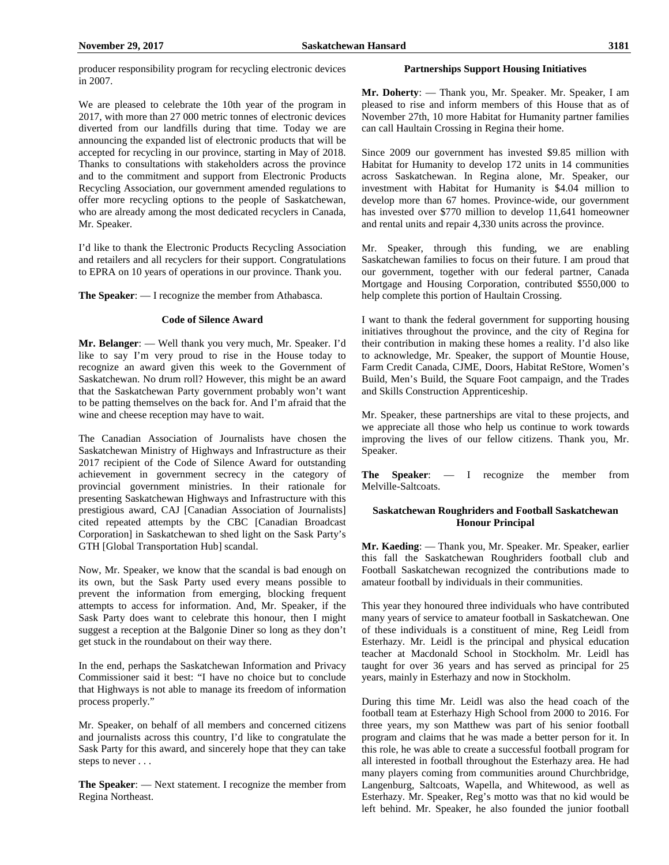producer responsibility program for recycling electronic devices in 2007.

We are pleased to celebrate the 10th year of the program in 2017, with more than 27 000 metric tonnes of electronic devices diverted from our landfills during that time. Today we are announcing the expanded list of electronic products that will be accepted for recycling in our province, starting in May of 2018. Thanks to consultations with stakeholders across the province and to the commitment and support from Electronic Products Recycling Association, our government amended regulations to offer more recycling options to the people of Saskatchewan, who are already among the most dedicated recyclers in Canada, Mr. Speaker.

I'd like to thank the Electronic Products Recycling Association and retailers and all recyclers for their support. Congratulations to EPRA on 10 years of operations in our province. Thank you.

**The Speaker**: — I recognize the member from Athabasca.

#### **Code of Silence Award**

**Mr. Belanger**: — Well thank you very much, Mr. Speaker. I'd like to say I'm very proud to rise in the House today to recognize an award given this week to the Government of Saskatchewan. No drum roll? However, this might be an award that the Saskatchewan Party government probably won't want to be patting themselves on the back for. And I'm afraid that the wine and cheese reception may have to wait.

The Canadian Association of Journalists have chosen the Saskatchewan Ministry of Highways and Infrastructure as their 2017 recipient of the Code of Silence Award for outstanding achievement in government secrecy in the category of provincial government ministries. In their rationale for presenting Saskatchewan Highways and Infrastructure with this prestigious award, CAJ [Canadian Association of Journalists] cited repeated attempts by the CBC [Canadian Broadcast Corporation] in Saskatchewan to shed light on the Sask Party's GTH [Global Transportation Hub] scandal.

Now, Mr. Speaker, we know that the scandal is bad enough on its own, but the Sask Party used every means possible to prevent the information from emerging, blocking frequent attempts to access for information. And, Mr. Speaker, if the Sask Party does want to celebrate this honour, then I might suggest a reception at the Balgonie Diner so long as they don't get stuck in the roundabout on their way there.

In the end, perhaps the Saskatchewan Information and Privacy Commissioner said it best: "I have no choice but to conclude that Highways is not able to manage its freedom of information process properly."

Mr. Speaker, on behalf of all members and concerned citizens and journalists across this country, I'd like to congratulate the Sask Party for this award, and sincerely hope that they can take steps to never . . .

**The Speaker**: — Next statement. I recognize the member from Regina Northeast.

# **Partnerships Support Housing Initiatives**

**Mr. Doherty**: — Thank you, Mr. Speaker. Mr. Speaker, I am pleased to rise and inform members of this House that as of November 27th, 10 more Habitat for Humanity partner families can call Haultain Crossing in Regina their home.

Since 2009 our government has invested \$9.85 million with Habitat for Humanity to develop 172 units in 14 communities across Saskatchewan. In Regina alone, Mr. Speaker, our investment with Habitat for Humanity is \$4.04 million to develop more than 67 homes. Province-wide, our government has invested over \$770 million to develop 11,641 homeowner and rental units and repair 4,330 units across the province.

Mr. Speaker, through this funding, we are enabling Saskatchewan families to focus on their future. I am proud that our government, together with our federal partner, Canada Mortgage and Housing Corporation, contributed \$550,000 to help complete this portion of Haultain Crossing.

I want to thank the federal government for supporting housing initiatives throughout the province, and the city of Regina for their contribution in making these homes a reality. I'd also like to acknowledge, Mr. Speaker, the support of Mountie House, Farm Credit Canada, CJME, Doors, Habitat ReStore, Women's Build, Men's Build, the Square Foot campaign, and the Trades and Skills Construction Apprenticeship.

Mr. Speaker, these partnerships are vital to these projects, and we appreciate all those who help us continue to work towards improving the lives of our fellow citizens. Thank you, Mr. Speaker.

**The Speaker**: — I recognize the member from Melville-Saltcoats.

# **Saskatchewan Roughriders and Football Saskatchewan Honour Principal**

**Mr. Kaeding**: — Thank you, Mr. Speaker. Mr. Speaker, earlier this fall the Saskatchewan Roughriders football club and Football Saskatchewan recognized the contributions made to amateur football by individuals in their communities.

This year they honoured three individuals who have contributed many years of service to amateur football in Saskatchewan. One of these individuals is a constituent of mine, Reg Leidl from Esterhazy. Mr. Leidl is the principal and physical education teacher at Macdonald School in Stockholm. Mr. Leidl has taught for over 36 years and has served as principal for 25 years, mainly in Esterhazy and now in Stockholm.

During this time Mr. Leidl was also the head coach of the football team at Esterhazy High School from 2000 to 2016. For three years, my son Matthew was part of his senior football program and claims that he was made a better person for it. In this role, he was able to create a successful football program for all interested in football throughout the Esterhazy area. He had many players coming from communities around Churchbridge, Langenburg, Saltcoats, Wapella, and Whitewood, as well as Esterhazy. Mr. Speaker, Reg's motto was that no kid would be left behind. Mr. Speaker, he also founded the junior football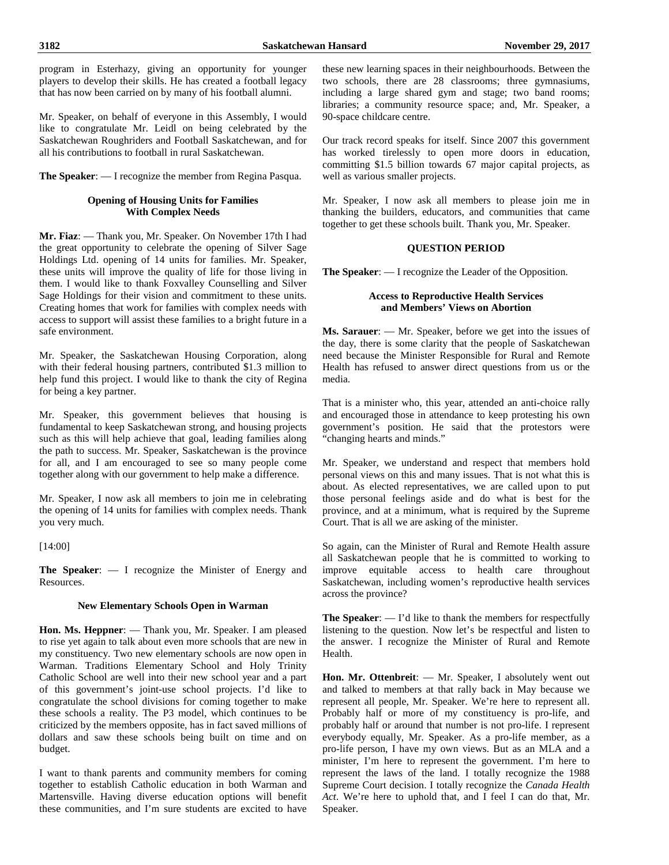program in Esterhazy, giving an opportunity for younger players to develop their skills. He has created a football legacy that has now been carried on by many of his football alumni.

Mr. Speaker, on behalf of everyone in this Assembly, I would like to congratulate Mr. Leidl on being celebrated by the Saskatchewan Roughriders and Football Saskatchewan, and for all his contributions to football in rural Saskatchewan.

**The Speaker**: — I recognize the member from Regina Pasqua.

# **Opening of Housing Units for Families With Complex Needs**

**Mr. Fiaz**: — Thank you, Mr. Speaker. On November 17th I had the great opportunity to celebrate the opening of Silver Sage Holdings Ltd. opening of 14 units for families. Mr. Speaker, these units will improve the quality of life for those living in them. I would like to thank Foxvalley Counselling and Silver Sage Holdings for their vision and commitment to these units. Creating homes that work for families with complex needs with access to support will assist these families to a bright future in a safe environment.

Mr. Speaker, the Saskatchewan Housing Corporation, along with their federal housing partners, contributed \$1.3 million to help fund this project. I would like to thank the city of Regina for being a key partner.

Mr. Speaker, this government believes that housing is fundamental to keep Saskatchewan strong, and housing projects such as this will help achieve that goal, leading families along the path to success. Mr. Speaker, Saskatchewan is the province for all, and I am encouraged to see so many people come together along with our government to help make a difference.

Mr. Speaker, I now ask all members to join me in celebrating the opening of 14 units for families with complex needs. Thank you very much.

[14:00]

**The Speaker**: — I recognize the Minister of Energy and Resources.

# **New Elementary Schools Open in Warman**

**Hon. Ms. Heppner**: — Thank you, Mr. Speaker. I am pleased to rise yet again to talk about even more schools that are new in my constituency. Two new elementary schools are now open in Warman. Traditions Elementary School and Holy Trinity Catholic School are well into their new school year and a part of this government's joint-use school projects. I'd like to congratulate the school divisions for coming together to make these schools a reality. The P3 model, which continues to be criticized by the members opposite, has in fact saved millions of dollars and saw these schools being built on time and on budget.

I want to thank parents and community members for coming together to establish Catholic education in both Warman and Martensville. Having diverse education options will benefit these communities, and I'm sure students are excited to have these new learning spaces in their neighbourhoods. Between the two schools, there are 28 classrooms; three gymnasiums, including a large shared gym and stage; two band rooms; libraries; a community resource space; and, Mr. Speaker, a 90-space childcare centre.

Our track record speaks for itself. Since 2007 this government has worked tirelessly to open more doors in education, committing \$1.5 billion towards 67 major capital projects, as well as various smaller projects.

Mr. Speaker, I now ask all members to please join me in thanking the builders, educators, and communities that came together to get these schools built. Thank you, Mr. Speaker.

# **QUESTION PERIOD**

**The Speaker**: — I recognize the Leader of the Opposition.

# **Access to Reproductive Health Services and Members' Views on Abortion**

**Ms. Sarauer**: — Mr. Speaker, before we get into the issues of the day, there is some clarity that the people of Saskatchewan need because the Minister Responsible for Rural and Remote Health has refused to answer direct questions from us or the media.

That is a minister who, this year, attended an anti-choice rally and encouraged those in attendance to keep protesting his own government's position. He said that the protestors were "changing hearts and minds."

Mr. Speaker, we understand and respect that members hold personal views on this and many issues. That is not what this is about. As elected representatives, we are called upon to put those personal feelings aside and do what is best for the province, and at a minimum, what is required by the Supreme Court. That is all we are asking of the minister.

So again, can the Minister of Rural and Remote Health assure all Saskatchewan people that he is committed to working to improve equitable access to health care throughout Saskatchewan, including women's reproductive health services across the province?

**The Speaker**: — I'd like to thank the members for respectfully listening to the question. Now let's be respectful and listen to the answer. I recognize the Minister of Rural and Remote Health.

**Hon. Mr. Ottenbreit**: — Mr. Speaker, I absolutely went out and talked to members at that rally back in May because we represent all people, Mr. Speaker. We're here to represent all. Probably half or more of my constituency is pro-life, and probably half or around that number is not pro-life. I represent everybody equally, Mr. Speaker. As a pro-life member, as a pro-life person, I have my own views. But as an MLA and a minister, I'm here to represent the government. I'm here to represent the laws of the land. I totally recognize the 1988 Supreme Court decision. I totally recognize the *Canada Health Act*. We're here to uphold that, and I feel I can do that, Mr. Speaker.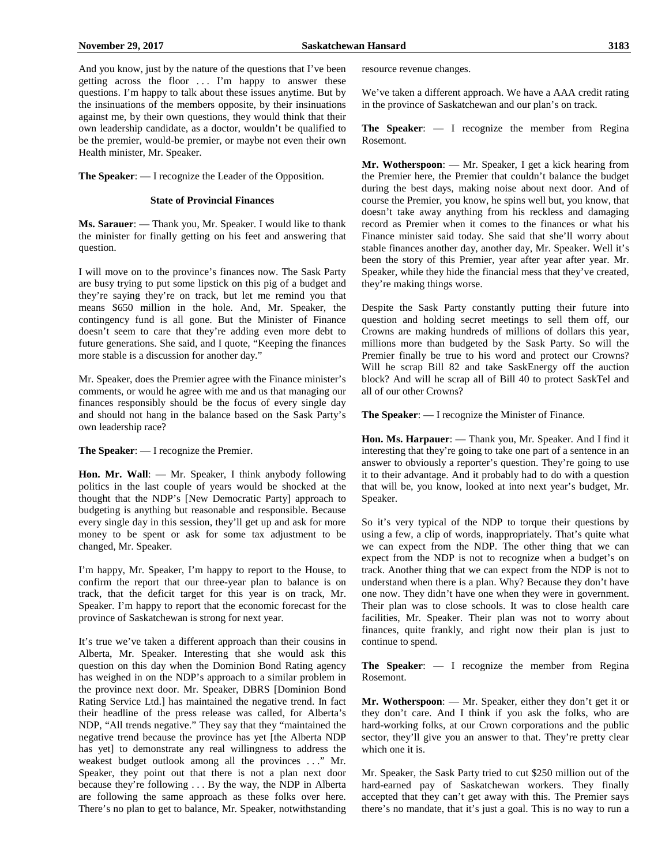And you know, just by the nature of the questions that I've been getting across the floor . . . I'm happy to answer these questions. I'm happy to talk about these issues anytime. But by the insinuations of the members opposite, by their insinuations against me, by their own questions, they would think that their own leadership candidate, as a doctor, wouldn't be qualified to be the premier, would-be premier, or maybe not even their own Health minister, Mr. Speaker.

**The Speaker**: — I recognize the Leader of the Opposition.

#### **State of Provincial Finances**

**Ms. Sarauer**: — Thank you, Mr. Speaker. I would like to thank the minister for finally getting on his feet and answering that question.

I will move on to the province's finances now. The Sask Party are busy trying to put some lipstick on this pig of a budget and they're saying they're on track, but let me remind you that means \$650 million in the hole. And, Mr. Speaker, the contingency fund is all gone. But the Minister of Finance doesn't seem to care that they're adding even more debt to future generations. She said, and I quote, "Keeping the finances more stable is a discussion for another day."

Mr. Speaker, does the Premier agree with the Finance minister's comments, or would he agree with me and us that managing our finances responsibly should be the focus of every single day and should not hang in the balance based on the Sask Party's own leadership race?

**The Speaker**: — I recognize the Premier.

**Hon. Mr. Wall**: — Mr. Speaker, I think anybody following politics in the last couple of years would be shocked at the thought that the NDP's [New Democratic Party] approach to budgeting is anything but reasonable and responsible. Because every single day in this session, they'll get up and ask for more money to be spent or ask for some tax adjustment to be changed, Mr. Speaker.

I'm happy, Mr. Speaker, I'm happy to report to the House, to confirm the report that our three-year plan to balance is on track, that the deficit target for this year is on track, Mr. Speaker. I'm happy to report that the economic forecast for the province of Saskatchewan is strong for next year.

It's true we've taken a different approach than their cousins in Alberta, Mr. Speaker. Interesting that she would ask this question on this day when the Dominion Bond Rating agency has weighed in on the NDP's approach to a similar problem in the province next door. Mr. Speaker, DBRS [Dominion Bond Rating Service Ltd.] has maintained the negative trend. In fact their headline of the press release was called, for Alberta's NDP, "All trends negative." They say that they "maintained the negative trend because the province has yet [the Alberta NDP has yet] to demonstrate any real willingness to address the weakest budget outlook among all the provinces . . ." Mr. Speaker, they point out that there is not a plan next door because they're following . . . By the way, the NDP in Alberta are following the same approach as these folks over here. There's no plan to get to balance, Mr. Speaker, notwithstanding resource revenue changes.

We've taken a different approach. We have a AAA credit rating in the province of Saskatchewan and our plan's on track.

**The Speaker**: — I recognize the member from Regina Rosemont.

**Mr. Wotherspoon**: — Mr. Speaker, I get a kick hearing from the Premier here, the Premier that couldn't balance the budget during the best days, making noise about next door. And of course the Premier, you know, he spins well but, you know, that doesn't take away anything from his reckless and damaging record as Premier when it comes to the finances or what his Finance minister said today. She said that she'll worry about stable finances another day, another day, Mr. Speaker. Well it's been the story of this Premier, year after year after year. Mr. Speaker, while they hide the financial mess that they've created, they're making things worse.

Despite the Sask Party constantly putting their future into question and holding secret meetings to sell them off, our Crowns are making hundreds of millions of dollars this year, millions more than budgeted by the Sask Party. So will the Premier finally be true to his word and protect our Crowns? Will he scrap Bill 82 and take SaskEnergy off the auction block? And will he scrap all of Bill 40 to protect SaskTel and all of our other Crowns?

**The Speaker**: — I recognize the Minister of Finance.

**Hon. Ms. Harpauer**: — Thank you, Mr. Speaker. And I find it interesting that they're going to take one part of a sentence in an answer to obviously a reporter's question. They're going to use it to their advantage. And it probably had to do with a question that will be, you know, looked at into next year's budget, Mr. Speaker.

So it's very typical of the NDP to torque their questions by using a few, a clip of words, inappropriately. That's quite what we can expect from the NDP. The other thing that we can expect from the NDP is not to recognize when a budget's on track. Another thing that we can expect from the NDP is not to understand when there is a plan. Why? Because they don't have one now. They didn't have one when they were in government. Their plan was to close schools. It was to close health care facilities, Mr. Speaker. Their plan was not to worry about finances, quite frankly, and right now their plan is just to continue to spend.

**The Speaker**: — I recognize the member from Regina Rosemont.

**Mr. Wotherspoon**: — Mr. Speaker, either they don't get it or they don't care. And I think if you ask the folks, who are hard-working folks, at our Crown corporations and the public sector, they'll give you an answer to that. They're pretty clear which one it is.

Mr. Speaker, the Sask Party tried to cut \$250 million out of the hard-earned pay of Saskatchewan workers. They finally accepted that they can't get away with this. The Premier says there's no mandate, that it's just a goal. This is no way to run a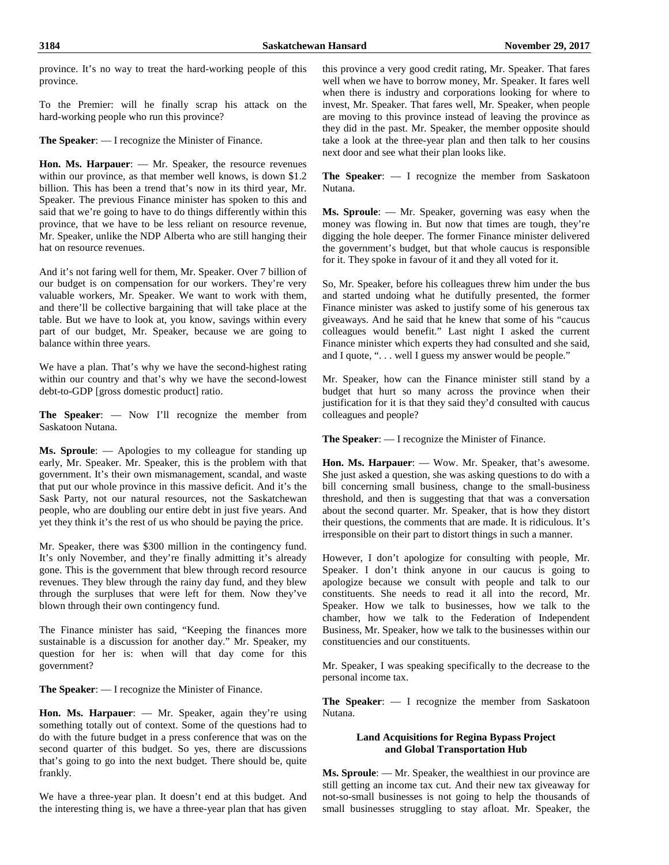province. It's no way to treat the hard-working people of this province.

To the Premier: will he finally scrap his attack on the hard-working people who run this province?

**The Speaker**: — I recognize the Minister of Finance.

**Hon. Ms. Harpauer**: — Mr. Speaker, the resource revenues within our province, as that member well knows, is down \$1.2 billion. This has been a trend that's now in its third year, Mr. Speaker. The previous Finance minister has spoken to this and said that we're going to have to do things differently within this province, that we have to be less reliant on resource revenue, Mr. Speaker, unlike the NDP Alberta who are still hanging their hat on resource revenues.

And it's not faring well for them, Mr. Speaker. Over 7 billion of our budget is on compensation for our workers. They're very valuable workers, Mr. Speaker. We want to work with them, and there'll be collective bargaining that will take place at the table. But we have to look at, you know, savings within every part of our budget, Mr. Speaker, because we are going to balance within three years.

We have a plan. That's why we have the second-highest rating within our country and that's why we have the second-lowest debt-to-GDP [gross domestic product] ratio.

**The Speaker**: — Now I'll recognize the member from Saskatoon Nutana.

**Ms. Sproule**: — Apologies to my colleague for standing up early, Mr. Speaker. Mr. Speaker, this is the problem with that government. It's their own mismanagement, scandal, and waste that put our whole province in this massive deficit. And it's the Sask Party, not our natural resources, not the Saskatchewan people, who are doubling our entire debt in just five years. And yet they think it's the rest of us who should be paying the price.

Mr. Speaker, there was \$300 million in the contingency fund. It's only November, and they're finally admitting it's already gone. This is the government that blew through record resource revenues. They blew through the rainy day fund, and they blew through the surpluses that were left for them. Now they've blown through their own contingency fund.

The Finance minister has said, "Keeping the finances more sustainable is a discussion for another day." Mr. Speaker, my question for her is: when will that day come for this government?

**The Speaker**: — I recognize the Minister of Finance.

**Hon. Ms. Harpauer**: — Mr. Speaker, again they're using something totally out of context. Some of the questions had to do with the future budget in a press conference that was on the second quarter of this budget. So yes, there are discussions that's going to go into the next budget. There should be, quite frankly.

We have a three-year plan. It doesn't end at this budget. And the interesting thing is, we have a three-year plan that has given this province a very good credit rating, Mr. Speaker. That fares well when we have to borrow money, Mr. Speaker. It fares well when there is industry and corporations looking for where to invest, Mr. Speaker. That fares well, Mr. Speaker, when people are moving to this province instead of leaving the province as they did in the past. Mr. Speaker, the member opposite should take a look at the three-year plan and then talk to her cousins next door and see what their plan looks like.

**The Speaker**: — I recognize the member from Saskatoon Nutana.

**Ms. Sproule**: — Mr. Speaker, governing was easy when the money was flowing in. But now that times are tough, they're digging the hole deeper. The former Finance minister delivered the government's budget, but that whole caucus is responsible for it. They spoke in favour of it and they all voted for it.

So, Mr. Speaker, before his colleagues threw him under the bus and started undoing what he dutifully presented, the former Finance minister was asked to justify some of his generous tax giveaways. And he said that he knew that some of his "caucus colleagues would benefit." Last night I asked the current Finance minister which experts they had consulted and she said, and I quote, ". . . well I guess my answer would be people."

Mr. Speaker, how can the Finance minister still stand by a budget that hurt so many across the province when their justification for it is that they said they'd consulted with caucus colleagues and people?

**The Speaker**: — I recognize the Minister of Finance.

**Hon. Ms. Harpauer**: — Wow. Mr. Speaker, that's awesome. She just asked a question, she was asking questions to do with a bill concerning small business, change to the small-business threshold, and then is suggesting that that was a conversation about the second quarter. Mr. Speaker, that is how they distort their questions, the comments that are made. It is ridiculous. It's irresponsible on their part to distort things in such a manner.

However, I don't apologize for consulting with people, Mr. Speaker. I don't think anyone in our caucus is going to apologize because we consult with people and talk to our constituents. She needs to read it all into the record, Mr. Speaker. How we talk to businesses, how we talk to the chamber, how we talk to the Federation of Independent Business, Mr. Speaker, how we talk to the businesses within our constituencies and our constituents.

Mr. Speaker, I was speaking specifically to the decrease to the personal income tax.

**The Speaker**: — I recognize the member from Saskatoon Nutana.

#### **Land Acquisitions for Regina Bypass Project and Global Transportation Hub**

**Ms. Sproule**: — Mr. Speaker, the wealthiest in our province are still getting an income tax cut. And their new tax giveaway for not-so-small businesses is not going to help the thousands of small businesses struggling to stay afloat. Mr. Speaker, the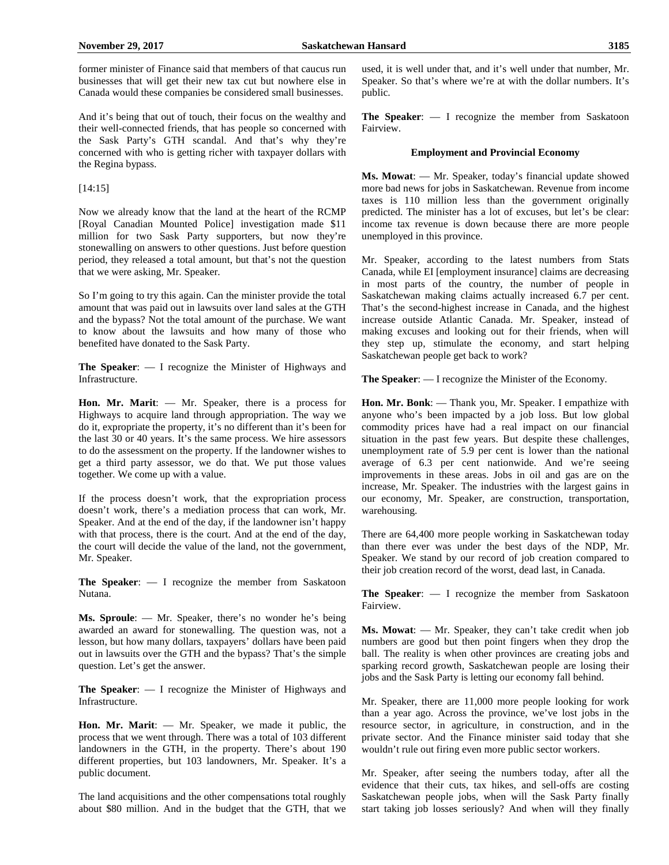former minister of Finance said that members of that caucus run businesses that will get their new tax cut but nowhere else in Canada would these companies be considered small businesses.

And it's being that out of touch, their focus on the wealthy and their well-connected friends, that has people so concerned with the Sask Party's GTH scandal. And that's why they're concerned with who is getting richer with taxpayer dollars with the Regina bypass.

#### [14:15]

Now we already know that the land at the heart of the RCMP [Royal Canadian Mounted Police] investigation made \$11 million for two Sask Party supporters, but now they're stonewalling on answers to other questions. Just before question period, they released a total amount, but that's not the question that we were asking, Mr. Speaker.

So I'm going to try this again. Can the minister provide the total amount that was paid out in lawsuits over land sales at the GTH and the bypass? Not the total amount of the purchase. We want to know about the lawsuits and how many of those who benefited have donated to the Sask Party.

**The Speaker**: — I recognize the Minister of Highways and Infrastructure.

**Hon. Mr. Marit**: — Mr. Speaker, there is a process for Highways to acquire land through appropriation. The way we do it, expropriate the property, it's no different than it's been for the last 30 or 40 years. It's the same process. We hire assessors to do the assessment on the property. If the landowner wishes to get a third party assessor, we do that. We put those values together. We come up with a value.

If the process doesn't work, that the expropriation process doesn't work, there's a mediation process that can work, Mr. Speaker. And at the end of the day, if the landowner isn't happy with that process, there is the court. And at the end of the day, the court will decide the value of the land, not the government, Mr. Speaker.

**The Speaker**: — I recognize the member from Saskatoon Nutana.

**Ms. Sproule**: — Mr. Speaker, there's no wonder he's being awarded an award for stonewalling. The question was, not a lesson, but how many dollars, taxpayers' dollars have been paid out in lawsuits over the GTH and the bypass? That's the simple question. Let's get the answer.

**The Speaker**: — I recognize the Minister of Highways and Infrastructure.

**Hon. Mr. Marit**: — Mr. Speaker, we made it public, the process that we went through. There was a total of 103 different landowners in the GTH, in the property. There's about 190 different properties, but 103 landowners, Mr. Speaker. It's a public document.

The land acquisitions and the other compensations total roughly about \$80 million. And in the budget that the GTH, that we used, it is well under that, and it's well under that number, Mr. Speaker. So that's where we're at with the dollar numbers. It's public.

**The Speaker**: — I recognize the member from Saskatoon Fairview.

#### **Employment and Provincial Economy**

**Ms. Mowat**: — Mr. Speaker, today's financial update showed more bad news for jobs in Saskatchewan. Revenue from income taxes is 110 million less than the government originally predicted. The minister has a lot of excuses, but let's be clear: income tax revenue is down because there are more people unemployed in this province.

Mr. Speaker, according to the latest numbers from Stats Canada, while EI [employment insurance] claims are decreasing in most parts of the country, the number of people in Saskatchewan making claims actually increased 6.7 per cent. That's the second-highest increase in Canada, and the highest increase outside Atlantic Canada. Mr. Speaker, instead of making excuses and looking out for their friends, when will they step up, stimulate the economy, and start helping Saskatchewan people get back to work?

**The Speaker**: — I recognize the Minister of the Economy.

**Hon. Mr. Bonk**: — Thank you, Mr. Speaker. I empathize with anyone who's been impacted by a job loss. But low global commodity prices have had a real impact on our financial situation in the past few years. But despite these challenges, unemployment rate of 5.9 per cent is lower than the national average of 6.3 per cent nationwide. And we're seeing improvements in these areas. Jobs in oil and gas are on the increase, Mr. Speaker. The industries with the largest gains in our economy, Mr. Speaker, are construction, transportation, warehousing.

There are 64,400 more people working in Saskatchewan today than there ever was under the best days of the NDP, Mr. Speaker. We stand by our record of job creation compared to their job creation record of the worst, dead last, in Canada.

**The Speaker**: — I recognize the member from Saskatoon Fairview.

**Ms. Mowat**: — Mr. Speaker, they can't take credit when job numbers are good but then point fingers when they drop the ball. The reality is when other provinces are creating jobs and sparking record growth, Saskatchewan people are losing their jobs and the Sask Party is letting our economy fall behind.

Mr. Speaker, there are 11,000 more people looking for work than a year ago. Across the province, we've lost jobs in the resource sector, in agriculture, in construction, and in the private sector. And the Finance minister said today that she wouldn't rule out firing even more public sector workers.

Mr. Speaker, after seeing the numbers today, after all the evidence that their cuts, tax hikes, and sell-offs are costing Saskatchewan people jobs, when will the Sask Party finally start taking job losses seriously? And when will they finally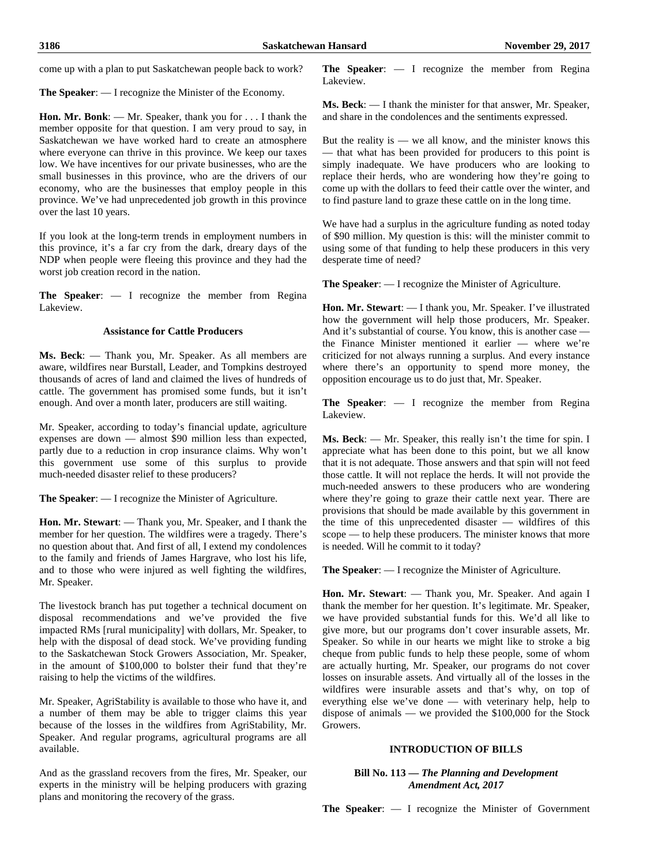come up with a plan to put Saskatchewan people back to work?

**The Speaker**: — I recognize the Minister of the Economy.

**Hon. Mr. Bonk**: — Mr. Speaker, thank you for . . . I thank the member opposite for that question. I am very proud to say, in Saskatchewan we have worked hard to create an atmosphere where everyone can thrive in this province. We keep our taxes low. We have incentives for our private businesses, who are the small businesses in this province, who are the drivers of our economy, who are the businesses that employ people in this province. We've had unprecedented job growth in this province over the last 10 years.

If you look at the long-term trends in employment numbers in this province, it's a far cry from the dark, dreary days of the NDP when people were fleeing this province and they had the worst job creation record in the nation.

**The Speaker**: — I recognize the member from Regina Lakeview.

#### **Assistance for Cattle Producers**

**Ms. Beck**: — Thank you, Mr. Speaker. As all members are aware, wildfires near Burstall, Leader, and Tompkins destroyed thousands of acres of land and claimed the lives of hundreds of cattle. The government has promised some funds, but it isn't enough. And over a month later, producers are still waiting.

Mr. Speaker, according to today's financial update, agriculture expenses are down — almost \$90 million less than expected, partly due to a reduction in crop insurance claims. Why won't this government use some of this surplus to provide much-needed disaster relief to these producers?

**The Speaker**: — I recognize the Minister of Agriculture.

**Hon. Mr. Stewart**: — Thank you, Mr. Speaker, and I thank the member for her question. The wildfires were a tragedy. There's no question about that. And first of all, I extend my condolences to the family and friends of James Hargrave, who lost his life, and to those who were injured as well fighting the wildfires, Mr. Speaker.

The livestock branch has put together a technical document on disposal recommendations and we've provided the five impacted RMs [rural municipality] with dollars, Mr. Speaker, to help with the disposal of dead stock. We've providing funding to the Saskatchewan Stock Growers Association, Mr. Speaker, in the amount of \$100,000 to bolster their fund that they're raising to help the victims of the wildfires.

Mr. Speaker, AgriStability is available to those who have it, and a number of them may be able to trigger claims this year because of the losses in the wildfires from AgriStability, Mr. Speaker. And regular programs, agricultural programs are all available.

And as the grassland recovers from the fires, Mr. Speaker, our experts in the ministry will be helping producers with grazing plans and monitoring the recovery of the grass.

**The Speaker**: — I recognize the member from Regina Lakeview.

**Ms. Beck**: — I thank the minister for that answer, Mr. Speaker, and share in the condolences and the sentiments expressed.

But the reality is — we all know, and the minister knows this — that what has been provided for producers to this point is simply inadequate. We have producers who are looking to replace their herds, who are wondering how they're going to come up with the dollars to feed their cattle over the winter, and to find pasture land to graze these cattle on in the long time.

We have had a surplus in the agriculture funding as noted today of \$90 million. My question is this: will the minister commit to using some of that funding to help these producers in this very desperate time of need?

**The Speaker**: — I recognize the Minister of Agriculture.

**Hon. Mr. Stewart**: — I thank you, Mr. Speaker. I've illustrated how the government will help those producers, Mr. Speaker. And it's substantial of course. You know, this is another case the Finance Minister mentioned it earlier — where we're criticized for not always running a surplus. And every instance where there's an opportunity to spend more money, the opposition encourage us to do just that, Mr. Speaker.

**The Speaker**: — I recognize the member from Regina Lakeview.

**Ms. Beck**: — Mr. Speaker, this really isn't the time for spin. I appreciate what has been done to this point, but we all know that it is not adequate. Those answers and that spin will not feed those cattle. It will not replace the herds. It will not provide the much-needed answers to these producers who are wondering where they're going to graze their cattle next year. There are provisions that should be made available by this government in the time of this unprecedented disaster — wildfires of this scope — to help these producers. The minister knows that more is needed. Will he commit to it today?

**The Speaker**: — I recognize the Minister of Agriculture.

**Hon. Mr. Stewart**: — Thank you, Mr. Speaker. And again I thank the member for her question. It's legitimate. Mr. Speaker, we have provided substantial funds for this. We'd all like to give more, but our programs don't cover insurable assets, Mr. Speaker. So while in our hearts we might like to stroke a big cheque from public funds to help these people, some of whom are actually hurting, Mr. Speaker, our programs do not cover losses on insurable assets. And virtually all of the losses in the wildfires were insurable assets and that's why, on top of everything else we've done — with veterinary help, help to dispose of animals — we provided the \$100,000 for the Stock Growers.

#### **INTRODUCTION OF BILLS**

**Bill No. 113 —** *The Planning and Development Amendment Act, 2017*

**The Speaker**: — I recognize the Minister of Government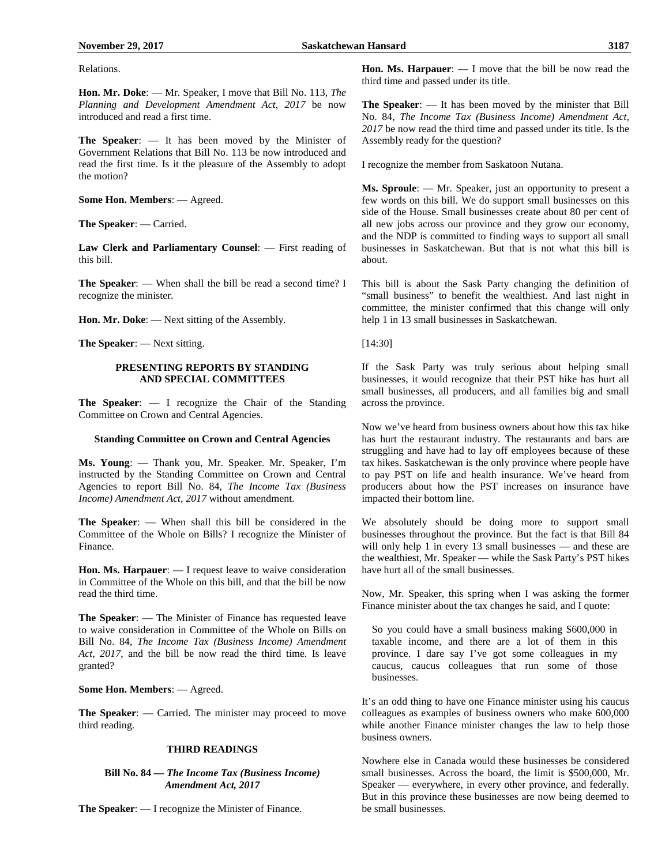Relations.

**Hon. Mr. Doke**: — Mr. Speaker, I move that Bill No. 113, *The Planning and Development Amendment Act, 2017* be now introduced and read a first time.

**The Speaker**: — It has been moved by the Minister of Government Relations that Bill No. 113 be now introduced and read the first time. Is it the pleasure of the Assembly to adopt the motion?

**Some Hon. Members**: — Agreed.

**The Speaker**: — Carried.

**Law Clerk and Parliamentary Counsel**: — First reading of this bill.

**The Speaker**: — When shall the bill be read a second time? I recognize the minister.

**Hon. Mr. Doke**: — Next sitting of the Assembly.

**The Speaker**: — Next sitting.

# **PRESENTING REPORTS BY STANDING AND SPECIAL COMMITTEES**

**The Speaker**: — I recognize the Chair of the Standing Committee on Crown and Central Agencies.

# **Standing Committee on Crown and Central Agencies**

**Ms. Young**: — Thank you, Mr. Speaker. Mr. Speaker, I'm instructed by the Standing Committee on Crown and Central Agencies to report Bill No. 84, *The Income Tax (Business Income) Amendment Act, 2017* without amendment.

**The Speaker**: — When shall this bill be considered in the Committee of the Whole on Bills? I recognize the Minister of Finance.

**Hon. Ms. Harpauer**: — I request leave to waive consideration in Committee of the Whole on this bill, and that the bill be now read the third time.

**The Speaker**: — The Minister of Finance has requested leave to waive consideration in Committee of the Whole on Bills on Bill No. 84, *The Income Tax (Business Income) Amendment Act, 2017*, and the bill be now read the third time. Is leave granted?

**Some Hon. Members**: — Agreed.

**The Speaker**: — Carried. The minister may proceed to move third reading.

# **THIRD READINGS**

# **Bill No. 84 —** *The Income Tax (Business Income) Amendment Act, 2017*

**The Speaker**: — I recognize the Minister of Finance.

**Hon. Ms. Harpauer**: — I move that the bill be now read the third time and passed under its title.

**The Speaker**: — It has been moved by the minister that Bill No. 84, *The Income Tax (Business Income) Amendment Act, 2017* be now read the third time and passed under its title. Is the Assembly ready for the question?

I recognize the member from Saskatoon Nutana.

**Ms. Sproule**: — Mr. Speaker, just an opportunity to present a few words on this bill. We do support small businesses on this side of the House. Small businesses create about 80 per cent of all new jobs across our province and they grow our economy, and the NDP is committed to finding ways to support all small businesses in Saskatchewan. But that is not what this bill is about.

This bill is about the Sask Party changing the definition of "small business" to benefit the wealthiest. And last night in committee, the minister confirmed that this change will only help 1 in 13 small businesses in Saskatchewan.

[14:30]

If the Sask Party was truly serious about helping small businesses, it would recognize that their PST hike has hurt all small businesses, all producers, and all families big and small across the province.

Now we've heard from business owners about how this tax hike has hurt the restaurant industry. The restaurants and bars are struggling and have had to lay off employees because of these tax hikes. Saskatchewan is the only province where people have to pay PST on life and health insurance. We've heard from producers about how the PST increases on insurance have impacted their bottom line.

We absolutely should be doing more to support small businesses throughout the province. But the fact is that Bill 84 will only help 1 in every 13 small businesses — and these are the wealthiest, Mr. Speaker — while the Sask Party's PST hikes have hurt all of the small businesses.

Now, Mr. Speaker, this spring when I was asking the former Finance minister about the tax changes he said, and I quote:

So you could have a small business making \$600,000 in taxable income, and there are a lot of them in this province. I dare say I've got some colleagues in my caucus, caucus colleagues that run some of those businesses.

It's an odd thing to have one Finance minister using his caucus colleagues as examples of business owners who make 600,000 while another Finance minister changes the law to help those business owners.

Nowhere else in Canada would these businesses be considered small businesses. Across the board, the limit is \$500,000, Mr. Speaker — everywhere, in every other province, and federally. But in this province these businesses are now being deemed to be small businesses.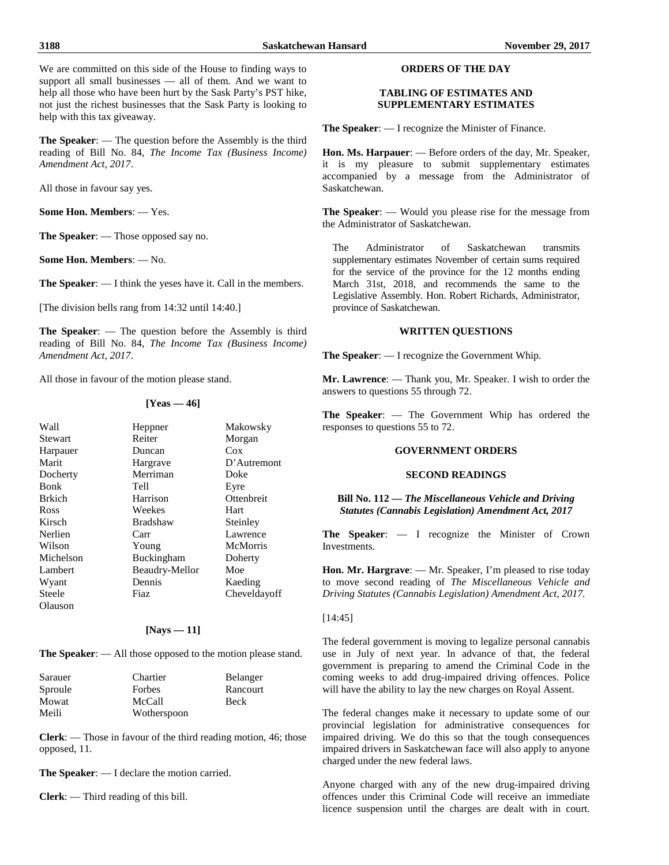We are committed on this side of the House to finding ways to support all small businesses — all of them. And we want to help all those who have been hurt by the Sask Party's PST hike, not just the richest businesses that the Sask Party is looking to help with this tax giveaway.

**The Speaker**: — The question before the Assembly is the third reading of Bill No. 84, *The Income Tax (Business Income) Amendment Act, 2017*.

All those in favour say yes.

**Some Hon. Members**: — Yes.

**The Speaker**: — Those opposed say no.

**Some Hon. Members**: — No.

**The Speaker**: — I think the yeses have it. Call in the members.

[The division bells rang from 14:32 until 14:40.]

**The Speaker**: — The question before the Assembly is third reading of Bill No. 84, *The Income Tax (Business Income) Amendment Act, 2017*.

All those in favour of the motion please stand.

# **[Yeas — 46]**

| Wall          | Heppner           | Makowsky        |
|---------------|-------------------|-----------------|
| Stewart       | Reiter            | Morgan          |
| Harpauer      | Duncan            | Cox             |
| Marit         | Hargrave          | D'Autremont     |
| Docherty      | Merriman          | Doke            |
| <b>Bonk</b>   | Tell              | Eyre            |
| <b>Brkich</b> | Harrison          | Ottenbreit      |
| Ross          | Weekes            | Hart            |
| Kirsch        | <b>Bradshaw</b>   | Steinley        |
| Nerlien       | Carr              | Lawrence        |
| Wilson        | Young             | <b>McMorris</b> |
| Michelson     | <b>Buckingham</b> | Doherty         |
| Lambert       | Beaudry-Mellor    | Moe             |
| Wyant         | Dennis            | Kaeding         |
| Steele        | Fiaz              | Cheveldayoff    |
| Olauson       |                   |                 |

#### **[Nays — 11]**

**The Speaker**: — All those opposed to the motion please stand.

| Sarauer | Chartier    | Belanger    |
|---------|-------------|-------------|
| Sproule | Forbes      | Rancourt    |
| Mowat   | McCall      | <b>Beck</b> |
| Meili   | Wotherspoon |             |

**Clerk**: — Those in favour of the third reading motion, 46; those opposed, 11.

**The Speaker**: — I declare the motion carried.

**Clerk**: — Third reading of this bill.

#### **ORDERS OF THE DAY**

#### **TABLING OF ESTIMATES AND SUPPLEMENTARY ESTIMATES**

**The Speaker**: — I recognize the Minister of Finance.

**Hon. Ms. Harpauer**: — Before orders of the day, Mr. Speaker, it is my pleasure to submit supplementary estimates accompanied by a message from the Administrator of Saskatchewan.

**The Speaker**: — Would you please rise for the message from the Administrator of Saskatchewan.

The Administrator of Saskatchewan transmits supplementary estimates November of certain sums required for the service of the province for the 12 months ending March 31st, 2018, and recommends the same to the Legislative Assembly. Hon. Robert Richards, Administrator, province of Saskatchewan.

#### **WRITTEN QUESTIONS**

**The Speaker**: — I recognize the Government Whip.

**Mr. Lawrence**: — Thank you, Mr. Speaker. I wish to order the answers to questions 55 through 72.

**The Speaker**: — The Government Whip has ordered the responses to questions 55 to 72.

# **GOVERNMENT ORDERS**

# **SECOND READINGS**

**Bill No. 112 —** *The Miscellaneous Vehicle and Driving Statutes (Cannabis Legislation) Amendment Act, 2017*

**The Speaker**: — I recognize the Minister of Crown Investments.

Hon. Mr. Hargrave: — Mr. Speaker, I'm pleased to rise today to move second reading of *The Miscellaneous Vehicle and Driving Statutes (Cannabis Legislation) Amendment Act, 2017.*

# [14:45]

The federal government is moving to legalize personal cannabis use in July of next year. In advance of that, the federal government is preparing to amend the Criminal Code in the coming weeks to add drug-impaired driving offences. Police will have the ability to lay the new charges on Royal Assent.

The federal changes make it necessary to update some of our provincial legislation for administrative consequences for impaired driving. We do this so that the tough consequences impaired drivers in Saskatchewan face will also apply to anyone charged under the new federal laws.

Anyone charged with any of the new drug-impaired driving offences under this Criminal Code will receive an immediate licence suspension until the charges are dealt with in court.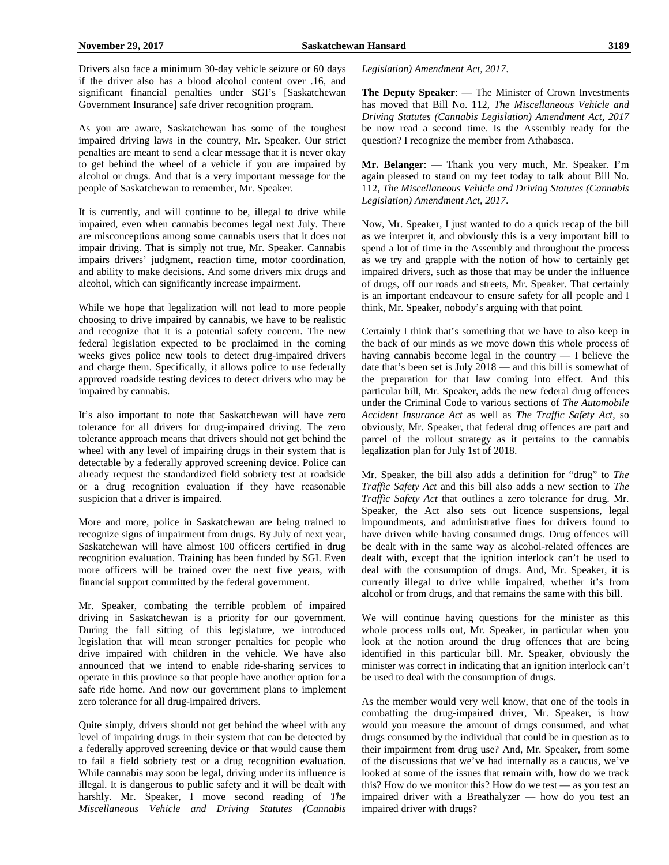Drivers also face a minimum 30-day vehicle seizure or 60 days if the driver also has a blood alcohol content over .16, and significant financial penalties under SGI's [Saskatchewan Government Insurance] safe driver recognition program.

As you are aware, Saskatchewan has some of the toughest impaired driving laws in the country, Mr. Speaker. Our strict penalties are meant to send a clear message that it is never okay to get behind the wheel of a vehicle if you are impaired by alcohol or drugs. And that is a very important message for the people of Saskatchewan to remember, Mr. Speaker.

It is currently, and will continue to be, illegal to drive while impaired, even when cannabis becomes legal next July. There are misconceptions among some cannabis users that it does not impair driving. That is simply not true, Mr. Speaker. Cannabis impairs drivers' judgment, reaction time, motor coordination, and ability to make decisions. And some drivers mix drugs and alcohol, which can significantly increase impairment.

While we hope that legalization will not lead to more people choosing to drive impaired by cannabis, we have to be realistic and recognize that it is a potential safety concern. The new federal legislation expected to be proclaimed in the coming weeks gives police new tools to detect drug-impaired drivers and charge them. Specifically, it allows police to use federally approved roadside testing devices to detect drivers who may be impaired by cannabis.

It's also important to note that Saskatchewan will have zero tolerance for all drivers for drug-impaired driving. The zero tolerance approach means that drivers should not get behind the wheel with any level of impairing drugs in their system that is detectable by a federally approved screening device. Police can already request the standardized field sobriety test at roadside or a drug recognition evaluation if they have reasonable suspicion that a driver is impaired.

More and more, police in Saskatchewan are being trained to recognize signs of impairment from drugs. By July of next year, Saskatchewan will have almost 100 officers certified in drug recognition evaluation. Training has been funded by SGI. Even more officers will be trained over the next five years, with financial support committed by the federal government.

Mr. Speaker, combating the terrible problem of impaired driving in Saskatchewan is a priority for our government. During the fall sitting of this legislature, we introduced legislation that will mean stronger penalties for people who drive impaired with children in the vehicle. We have also announced that we intend to enable ride-sharing services to operate in this province so that people have another option for a safe ride home. And now our government plans to implement zero tolerance for all drug-impaired drivers.

Quite simply, drivers should not get behind the wheel with any level of impairing drugs in their system that can be detected by a federally approved screening device or that would cause them to fail a field sobriety test or a drug recognition evaluation. While cannabis may soon be legal, driving under its influence is illegal. It is dangerous to public safety and it will be dealt with harshly. Mr. Speaker, I move second reading of *The Miscellaneous Vehicle and Driving Statutes (Cannabis*  *Legislation) Amendment Act, 2017*.

**The Deputy Speaker**: — The Minister of Crown Investments has moved that Bill No. 112, *The Miscellaneous Vehicle and Driving Statutes (Cannabis Legislation) Amendment Act, 2017* be now read a second time. Is the Assembly ready for the question? I recognize the member from Athabasca.

**Mr. Belanger**: — Thank you very much, Mr. Speaker. I'm again pleased to stand on my feet today to talk about Bill No. 112, *The Miscellaneous Vehicle and Driving Statutes (Cannabis Legislation) Amendment Act, 2017*.

Now, Mr. Speaker, I just wanted to do a quick recap of the bill as we interpret it, and obviously this is a very important bill to spend a lot of time in the Assembly and throughout the process as we try and grapple with the notion of how to certainly get impaired drivers, such as those that may be under the influence of drugs, off our roads and streets, Mr. Speaker. That certainly is an important endeavour to ensure safety for all people and I think, Mr. Speaker, nobody's arguing with that point.

Certainly I think that's something that we have to also keep in the back of our minds as we move down this whole process of having cannabis become legal in the country — I believe the date that's been set is July 2018 — and this bill is somewhat of the preparation for that law coming into effect. And this particular bill, Mr. Speaker, adds the new federal drug offences under the Criminal Code to various sections of *The Automobile Accident Insurance Act* as well as *The Traffic Safety Act*, so obviously, Mr. Speaker, that federal drug offences are part and parcel of the rollout strategy as it pertains to the cannabis legalization plan for July 1st of 2018.

Mr. Speaker, the bill also adds a definition for "drug" to *The Traffic Safety Act* and this bill also adds a new section to *The Traffic Safety Act* that outlines a zero tolerance for drug. Mr. Speaker, the Act also sets out licence suspensions, legal impoundments, and administrative fines for drivers found to have driven while having consumed drugs. Drug offences will be dealt with in the same way as alcohol-related offences are dealt with, except that the ignition interlock can't be used to deal with the consumption of drugs. And, Mr. Speaker, it is currently illegal to drive while impaired, whether it's from alcohol or from drugs, and that remains the same with this bill.

We will continue having questions for the minister as this whole process rolls out, Mr. Speaker, in particular when you look at the notion around the drug offences that are being identified in this particular bill. Mr. Speaker, obviously the minister was correct in indicating that an ignition interlock can't be used to deal with the consumption of drugs.

As the member would very well know, that one of the tools in combatting the drug-impaired driver, Mr. Speaker, is how would you measure the amount of drugs consumed, and what drugs consumed by the individual that could be in question as to their impairment from drug use? And, Mr. Speaker, from some of the discussions that we've had internally as a caucus, we've looked at some of the issues that remain with, how do we track this? How do we monitor this? How do we test — as you test an impaired driver with a Breathalyzer — how do you test an impaired driver with drugs?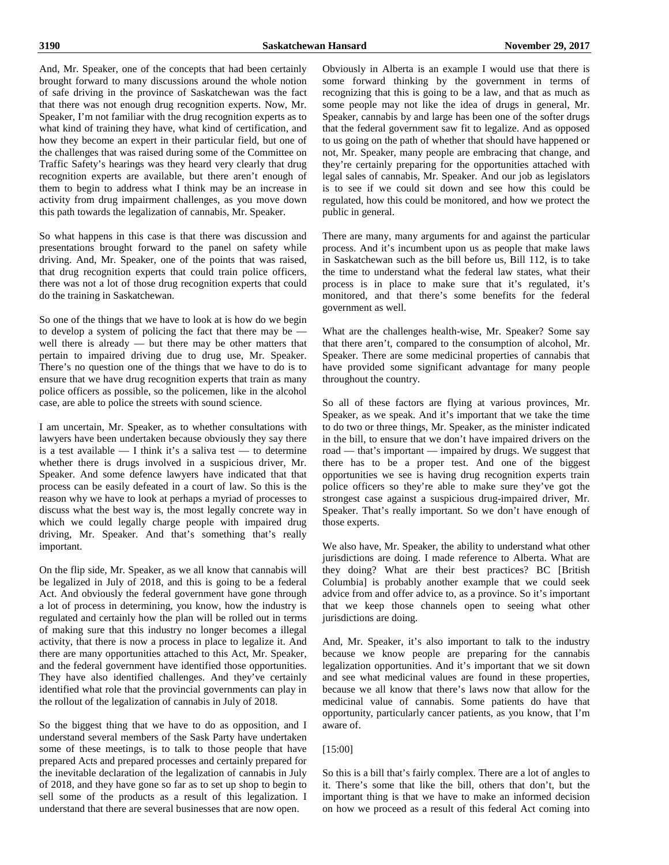And, Mr. Speaker, one of the concepts that had been certainly brought forward to many discussions around the whole notion of safe driving in the province of Saskatchewan was the fact that there was not enough drug recognition experts. Now, Mr. Speaker, I'm not familiar with the drug recognition experts as to what kind of training they have, what kind of certification, and how they become an expert in their particular field, but one of the challenges that was raised during some of the Committee on Traffic Safety's hearings was they heard very clearly that drug recognition experts are available, but there aren't enough of them to begin to address what I think may be an increase in activity from drug impairment challenges, as you move down this path towards the legalization of cannabis, Mr. Speaker.

So what happens in this case is that there was discussion and presentations brought forward to the panel on safety while driving. And, Mr. Speaker, one of the points that was raised, that drug recognition experts that could train police officers, there was not a lot of those drug recognition experts that could do the training in Saskatchewan.

So one of the things that we have to look at is how do we begin to develop a system of policing the fact that there may be well there is already — but there may be other matters that pertain to impaired driving due to drug use, Mr. Speaker. There's no question one of the things that we have to do is to ensure that we have drug recognition experts that train as many police officers as possible, so the policemen, like in the alcohol case, are able to police the streets with sound science.

I am uncertain, Mr. Speaker, as to whether consultations with lawyers have been undertaken because obviously they say there is a test available  $-$  I think it's a saliva test  $-$  to determine whether there is drugs involved in a suspicious driver, Mr. Speaker. And some defence lawyers have indicated that that process can be easily defeated in a court of law. So this is the reason why we have to look at perhaps a myriad of processes to discuss what the best way is, the most legally concrete way in which we could legally charge people with impaired drug driving, Mr. Speaker. And that's something that's really important.

On the flip side, Mr. Speaker, as we all know that cannabis will be legalized in July of 2018, and this is going to be a federal Act. And obviously the federal government have gone through a lot of process in determining, you know, how the industry is regulated and certainly how the plan will be rolled out in terms of making sure that this industry no longer becomes a illegal activity, that there is now a process in place to legalize it. And there are many opportunities attached to this Act, Mr. Speaker, and the federal government have identified those opportunities. They have also identified challenges. And they've certainly identified what role that the provincial governments can play in the rollout of the legalization of cannabis in July of 2018.

So the biggest thing that we have to do as opposition, and I understand several members of the Sask Party have undertaken some of these meetings, is to talk to those people that have prepared Acts and prepared processes and certainly prepared for the inevitable declaration of the legalization of cannabis in July of 2018, and they have gone so far as to set up shop to begin to sell some of the products as a result of this legalization. I understand that there are several businesses that are now open.

Obviously in Alberta is an example I would use that there is some forward thinking by the government in terms of recognizing that this is going to be a law, and that as much as some people may not like the idea of drugs in general, Mr. Speaker, cannabis by and large has been one of the softer drugs that the federal government saw fit to legalize. And as opposed to us going on the path of whether that should have happened or not, Mr. Speaker, many people are embracing that change, and they're certainly preparing for the opportunities attached with legal sales of cannabis, Mr. Speaker. And our job as legislators is to see if we could sit down and see how this could be regulated, how this could be monitored, and how we protect the public in general.

There are many, many arguments for and against the particular process. And it's incumbent upon us as people that make laws in Saskatchewan such as the bill before us, Bill 112, is to take the time to understand what the federal law states, what their process is in place to make sure that it's regulated, it's monitored, and that there's some benefits for the federal government as well.

What are the challenges health-wise, Mr. Speaker? Some say that there aren't, compared to the consumption of alcohol, Mr. Speaker. There are some medicinal properties of cannabis that have provided some significant advantage for many people throughout the country.

So all of these factors are flying at various provinces, Mr. Speaker, as we speak. And it's important that we take the time to do two or three things, Mr. Speaker, as the minister indicated in the bill, to ensure that we don't have impaired drivers on the road — that's important — impaired by drugs. We suggest that there has to be a proper test. And one of the biggest opportunities we see is having drug recognition experts train police officers so they're able to make sure they've got the strongest case against a suspicious drug-impaired driver, Mr. Speaker. That's really important. So we don't have enough of those experts.

We also have, Mr. Speaker, the ability to understand what other jurisdictions are doing. I made reference to Alberta. What are they doing? What are their best practices? BC [British Columbia] is probably another example that we could seek advice from and offer advice to, as a province. So it's important that we keep those channels open to seeing what other jurisdictions are doing.

And, Mr. Speaker, it's also important to talk to the industry because we know people are preparing for the cannabis legalization opportunities. And it's important that we sit down and see what medicinal values are found in these properties, because we all know that there's laws now that allow for the medicinal value of cannabis. Some patients do have that opportunity, particularly cancer patients, as you know, that I'm aware of.

#### [15:00]

So this is a bill that's fairly complex. There are a lot of angles to it. There's some that like the bill, others that don't, but the important thing is that we have to make an informed decision on how we proceed as a result of this federal Act coming into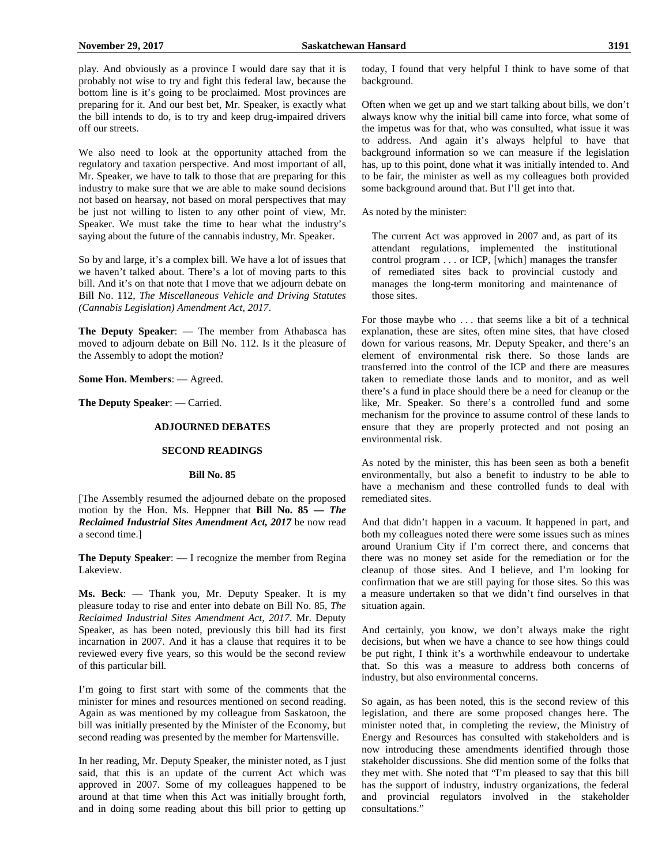play. And obviously as a province I would dare say that it is probably not wise to try and fight this federal law, because the bottom line is it's going to be proclaimed. Most provinces are preparing for it. And our best bet, Mr. Speaker, is exactly what the bill intends to do, is to try and keep drug-impaired drivers off our streets.

We also need to look at the opportunity attached from the regulatory and taxation perspective. And most important of all, Mr. Speaker, we have to talk to those that are preparing for this industry to make sure that we are able to make sound decisions not based on hearsay, not based on moral perspectives that may be just not willing to listen to any other point of view, Mr. Speaker. We must take the time to hear what the industry's saying about the future of the cannabis industry, Mr. Speaker.

So by and large, it's a complex bill. We have a lot of issues that we haven't talked about. There's a lot of moving parts to this bill. And it's on that note that I move that we adjourn debate on Bill No. 112, *The Miscellaneous Vehicle and Driving Statutes (Cannabis Legislation) Amendment Act, 2017*.

**The Deputy Speaker**: — The member from Athabasca has moved to adjourn debate on Bill No. 112. Is it the pleasure of the Assembly to adopt the motion?

**Some Hon. Members**: — Agreed.

**The Deputy Speaker**: — Carried.

#### **ADJOURNED DEBATES**

# **SECOND READINGS**

#### **Bill No. 85**

[The Assembly resumed the adjourned debate on the proposed motion by the Hon. Ms. Heppner that **Bill No. 85 —** *The Reclaimed Industrial Sites Amendment Act, 2017* be now read a second time.]

**The Deputy Speaker**: — I recognize the member from Regina Lakeview.

**Ms. Beck**: — Thank you, Mr. Deputy Speaker. It is my pleasure today to rise and enter into debate on Bill No. 85, *The Reclaimed Industrial Sites Amendment Act, 2017*. Mr. Deputy Speaker, as has been noted, previously this bill had its first incarnation in 2007. And it has a clause that requires it to be reviewed every five years, so this would be the second review of this particular bill.

I'm going to first start with some of the comments that the minister for mines and resources mentioned on second reading. Again as was mentioned by my colleague from Saskatoon, the bill was initially presented by the Minister of the Economy, but second reading was presented by the member for Martensville.

In her reading, Mr. Deputy Speaker, the minister noted, as I just said, that this is an update of the current Act which was approved in 2007. Some of my colleagues happened to be around at that time when this Act was initially brought forth, and in doing some reading about this bill prior to getting up today, I found that very helpful I think to have some of that background.

Often when we get up and we start talking about bills, we don't always know why the initial bill came into force, what some of the impetus was for that, who was consulted, what issue it was to address. And again it's always helpful to have that background information so we can measure if the legislation has, up to this point, done what it was initially intended to. And to be fair, the minister as well as my colleagues both provided some background around that. But I'll get into that.

As noted by the minister:

The current Act was approved in 2007 and, as part of its attendant regulations, implemented the institutional control program . . . or ICP, [which] manages the transfer of remediated sites back to provincial custody and manages the long-term monitoring and maintenance of those sites.

For those maybe who . . . that seems like a bit of a technical explanation, these are sites, often mine sites, that have closed down for various reasons, Mr. Deputy Speaker, and there's an element of environmental risk there. So those lands are transferred into the control of the ICP and there are measures taken to remediate those lands and to monitor, and as well there's a fund in place should there be a need for cleanup or the like, Mr. Speaker. So there's a controlled fund and some mechanism for the province to assume control of these lands to ensure that they are properly protected and not posing an environmental risk.

As noted by the minister, this has been seen as both a benefit environmentally, but also a benefit to industry to be able to have a mechanism and these controlled funds to deal with remediated sites.

And that didn't happen in a vacuum. It happened in part, and both my colleagues noted there were some issues such as mines around Uranium City if I'm correct there, and concerns that there was no money set aside for the remediation or for the cleanup of those sites. And I believe, and I'm looking for confirmation that we are still paying for those sites. So this was a measure undertaken so that we didn't find ourselves in that situation again.

And certainly, you know, we don't always make the right decisions, but when we have a chance to see how things could be put right, I think it's a worthwhile endeavour to undertake that. So this was a measure to address both concerns of industry, but also environmental concerns.

So again, as has been noted, this is the second review of this legislation, and there are some proposed changes here. The minister noted that, in completing the review, the Ministry of Energy and Resources has consulted with stakeholders and is now introducing these amendments identified through those stakeholder discussions. She did mention some of the folks that they met with. She noted that "I'm pleased to say that this bill has the support of industry, industry organizations, the federal and provincial regulators involved in the stakeholder consultations."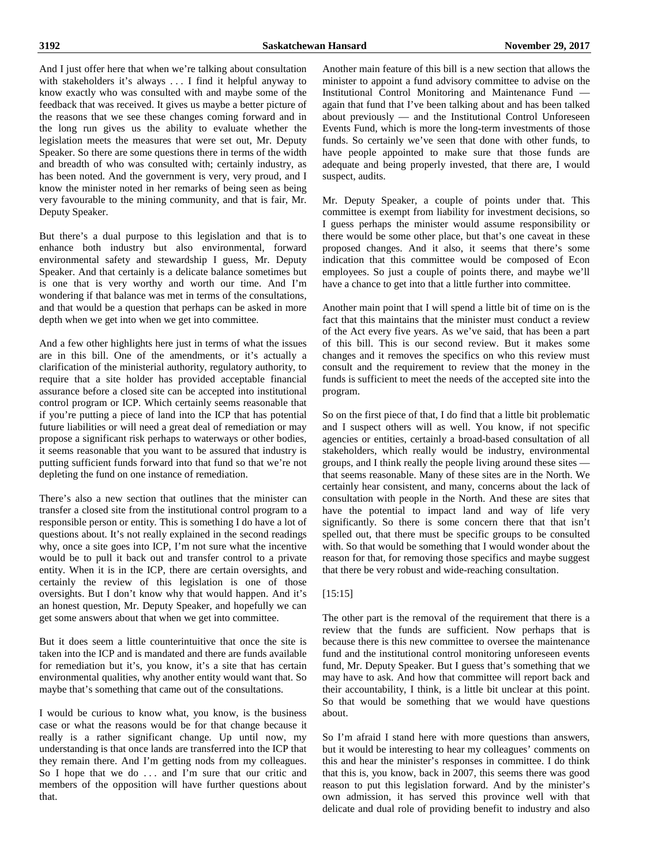And I just offer here that when we're talking about consultation with stakeholders it's always . . . I find it helpful anyway to know exactly who was consulted with and maybe some of the feedback that was received. It gives us maybe a better picture of the reasons that we see these changes coming forward and in the long run gives us the ability to evaluate whether the legislation meets the measures that were set out, Mr. Deputy Speaker. So there are some questions there in terms of the width and breadth of who was consulted with; certainly industry, as has been noted. And the government is very, very proud, and I know the minister noted in her remarks of being seen as being very favourable to the mining community, and that is fair, Mr. Deputy Speaker.

But there's a dual purpose to this legislation and that is to enhance both industry but also environmental, forward environmental safety and stewardship I guess, Mr. Deputy Speaker. And that certainly is a delicate balance sometimes but is one that is very worthy and worth our time. And I'm wondering if that balance was met in terms of the consultations, and that would be a question that perhaps can be asked in more depth when we get into when we get into committee.

And a few other highlights here just in terms of what the issues are in this bill. One of the amendments, or it's actually a clarification of the ministerial authority, regulatory authority, to require that a site holder has provided acceptable financial assurance before a closed site can be accepted into institutional control program or ICP. Which certainly seems reasonable that if you're putting a piece of land into the ICP that has potential future liabilities or will need a great deal of remediation or may propose a significant risk perhaps to waterways or other bodies, it seems reasonable that you want to be assured that industry is putting sufficient funds forward into that fund so that we're not depleting the fund on one instance of remediation.

There's also a new section that outlines that the minister can transfer a closed site from the institutional control program to a responsible person or entity. This is something I do have a lot of questions about. It's not really explained in the second readings why, once a site goes into ICP, I'm not sure what the incentive would be to pull it back out and transfer control to a private entity. When it is in the ICP, there are certain oversights, and certainly the review of this legislation is one of those oversights. But I don't know why that would happen. And it's an honest question, Mr. Deputy Speaker, and hopefully we can get some answers about that when we get into committee.

But it does seem a little counterintuitive that once the site is taken into the ICP and is mandated and there are funds available for remediation but it's, you know, it's a site that has certain environmental qualities, why another entity would want that. So maybe that's something that came out of the consultations.

I would be curious to know what, you know, is the business case or what the reasons would be for that change because it really is a rather significant change. Up until now, my understanding is that once lands are transferred into the ICP that they remain there. And I'm getting nods from my colleagues. So I hope that we do ... and I'm sure that our critic and members of the opposition will have further questions about that.

Another main feature of this bill is a new section that allows the minister to appoint a fund advisory committee to advise on the Institutional Control Monitoring and Maintenance Fund again that fund that I've been talking about and has been talked about previously — and the Institutional Control Unforeseen Events Fund, which is more the long-term investments of those funds. So certainly we've seen that done with other funds, to have people appointed to make sure that those funds are adequate and being properly invested, that there are, I would suspect, audits.

Mr. Deputy Speaker, a couple of points under that. This committee is exempt from liability for investment decisions, so I guess perhaps the minister would assume responsibility or there would be some other place, but that's one caveat in these proposed changes. And it also, it seems that there's some indication that this committee would be composed of Econ employees. So just a couple of points there, and maybe we'll have a chance to get into that a little further into committee.

Another main point that I will spend a little bit of time on is the fact that this maintains that the minister must conduct a review of the Act every five years. As we've said, that has been a part of this bill. This is our second review. But it makes some changes and it removes the specifics on who this review must consult and the requirement to review that the money in the funds is sufficient to meet the needs of the accepted site into the program.

So on the first piece of that, I do find that a little bit problematic and I suspect others will as well. You know, if not specific agencies or entities, certainly a broad-based consultation of all stakeholders, which really would be industry, environmental groups, and I think really the people living around these sites that seems reasonable. Many of these sites are in the North. We certainly hear consistent, and many, concerns about the lack of consultation with people in the North. And these are sites that have the potential to impact land and way of life very significantly. So there is some concern there that that isn't spelled out, that there must be specific groups to be consulted with. So that would be something that I would wonder about the reason for that, for removing those specifics and maybe suggest that there be very robust and wide-reaching consultation.

#### [15:15]

The other part is the removal of the requirement that there is a review that the funds are sufficient. Now perhaps that is because there is this new committee to oversee the maintenance fund and the institutional control monitoring unforeseen events fund, Mr. Deputy Speaker. But I guess that's something that we may have to ask. And how that committee will report back and their accountability, I think, is a little bit unclear at this point. So that would be something that we would have questions about.

So I'm afraid I stand here with more questions than answers, but it would be interesting to hear my colleagues' comments on this and hear the minister's responses in committee. I do think that this is, you know, back in 2007, this seems there was good reason to put this legislation forward. And by the minister's own admission, it has served this province well with that delicate and dual role of providing benefit to industry and also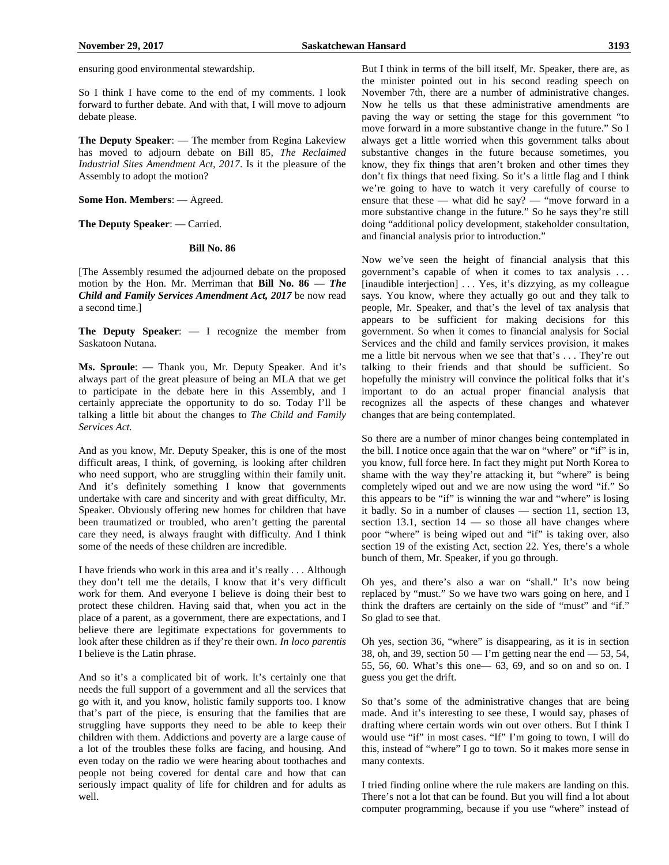So I think I have come to the end of my comments. I look forward to further debate. And with that, I will move to adjourn debate please.

**The Deputy Speaker**: — The member from Regina Lakeview has moved to adjourn debate on Bill 85, *The Reclaimed Industrial Sites Amendment Act, 2017*. Is it the pleasure of the Assembly to adopt the motion?

**Some Hon. Members**: — Agreed.

**The Deputy Speaker**: — Carried.

#### **Bill No. 86**

[The Assembly resumed the adjourned debate on the proposed motion by the Hon. Mr. Merriman that **Bill No. 86 —** *The Child and Family Services Amendment Act, 2017* be now read a second time.]

**The Deputy Speaker**: — I recognize the member from Saskatoon Nutana.

**Ms. Sproule**: — Thank you, Mr. Deputy Speaker. And it's always part of the great pleasure of being an MLA that we get to participate in the debate here in this Assembly, and I certainly appreciate the opportunity to do so. Today I'll be talking a little bit about the changes to *The Child and Family Services Act.*

And as you know, Mr. Deputy Speaker, this is one of the most difficult areas, I think, of governing, is looking after children who need support, who are struggling within their family unit. And it's definitely something I know that governments undertake with care and sincerity and with great difficulty, Mr. Speaker. Obviously offering new homes for children that have been traumatized or troubled, who aren't getting the parental care they need, is always fraught with difficulty. And I think some of the needs of these children are incredible.

I have friends who work in this area and it's really . . . Although they don't tell me the details, I know that it's very difficult work for them. And everyone I believe is doing their best to protect these children. Having said that, when you act in the place of a parent, as a government, there are expectations, and I believe there are legitimate expectations for governments to look after these children as if they're their own. *In loco parentis* I believe is the Latin phrase.

And so it's a complicated bit of work. It's certainly one that needs the full support of a government and all the services that go with it, and you know, holistic family supports too. I know that's part of the piece, is ensuring that the families that are struggling have supports they need to be able to keep their children with them. Addictions and poverty are a large cause of a lot of the troubles these folks are facing, and housing. And even today on the radio we were hearing about toothaches and people not being covered for dental care and how that can seriously impact quality of life for children and for adults as well.

But I think in terms of the bill itself, Mr. Speaker, there are, as the minister pointed out in his second reading speech on November 7th, there are a number of administrative changes. Now he tells us that these administrative amendments are paving the way or setting the stage for this government "to move forward in a more substantive change in the future." So I always get a little worried when this government talks about substantive changes in the future because sometimes, you know, they fix things that aren't broken and other times they don't fix things that need fixing. So it's a little flag and I think we're going to have to watch it very carefully of course to ensure that these — what did he say? — "move forward in a more substantive change in the future." So he says they're still doing "additional policy development, stakeholder consultation, and financial analysis prior to introduction."

Now we've seen the height of financial analysis that this government's capable of when it comes to tax analysis . . . [inaudible interjection] . . . Yes, it's dizzying, as my colleague says. You know, where they actually go out and they talk to people, Mr. Speaker, and that's the level of tax analysis that appears to be sufficient for making decisions for this government. So when it comes to financial analysis for Social Services and the child and family services provision, it makes me a little bit nervous when we see that that's . . . They're out talking to their friends and that should be sufficient. So hopefully the ministry will convince the political folks that it's important to do an actual proper financial analysis that recognizes all the aspects of these changes and whatever changes that are being contemplated.

So there are a number of minor changes being contemplated in the bill. I notice once again that the war on "where" or "if" is in, you know, full force here. In fact they might put North Korea to shame with the way they're attacking it, but "where" is being completely wiped out and we are now using the word "if." So this appears to be "if" is winning the war and "where" is losing it badly. So in a number of clauses — section 11, section 13, section 13.1, section  $14$  — so those all have changes where poor "where" is being wiped out and "if" is taking over, also section 19 of the existing Act, section 22. Yes, there's a whole bunch of them, Mr. Speaker, if you go through.

Oh yes, and there's also a war on "shall." It's now being replaced by "must." So we have two wars going on here, and I think the drafters are certainly on the side of "must" and "if." So glad to see that.

Oh yes, section 36, "where" is disappearing, as it is in section 38, oh, and 39, section  $50 - \Gamma$  m getting near the end  $-53$ , 54, 55, 56, 60. What's this one— 63, 69, and so on and so on. I guess you get the drift.

So that's some of the administrative changes that are being made. And it's interesting to see these, I would say, phases of drafting where certain words win out over others. But I think I would use "if" in most cases. "If" I'm going to town, I will do this, instead of "where" I go to town. So it makes more sense in many contexts.

I tried finding online where the rule makers are landing on this. There's not a lot that can be found. But you will find a lot about computer programming, because if you use "where" instead of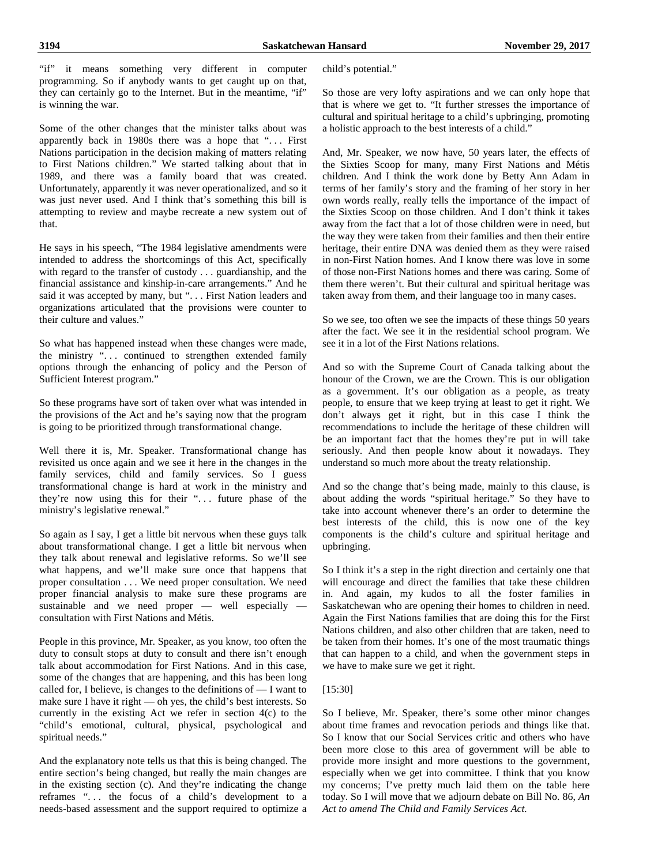"if" it means something very different in computer programming. So if anybody wants to get caught up on that, they can certainly go to the Internet. But in the meantime, "if" is winning the war.

Some of the other changes that the minister talks about was apparently back in 1980s there was a hope that "... First Nations participation in the decision making of matters relating to First Nations children." We started talking about that in 1989, and there was a family board that was created. Unfortunately, apparently it was never operationalized, and so it was just never used. And I think that's something this bill is attempting to review and maybe recreate a new system out of that.

He says in his speech, "The 1984 legislative amendments were intended to address the shortcomings of this Act, specifically with regard to the transfer of custody . . . guardianship, and the financial assistance and kinship-in-care arrangements." And he said it was accepted by many, but "... First Nation leaders and organizations articulated that the provisions were counter to their culture and values."

So what has happened instead when these changes were made, the ministry "... continued to strengthen extended family options through the enhancing of policy and the Person of Sufficient Interest program."

So these programs have sort of taken over what was intended in the provisions of the Act and he's saying now that the program is going to be prioritized through transformational change.

Well there it is, Mr. Speaker. Transformational change has revisited us once again and we see it here in the changes in the family services, child and family services. So I guess transformational change is hard at work in the ministry and they're now using this for their "... future phase of the ministry's legislative renewal."

So again as I say, I get a little bit nervous when these guys talk about transformational change. I get a little bit nervous when they talk about renewal and legislative reforms. So we'll see what happens, and we'll make sure once that happens that proper consultation . . . We need proper consultation. We need proper financial analysis to make sure these programs are sustainable and we need proper — well especially consultation with First Nations and Métis.

People in this province, Mr. Speaker, as you know, too often the duty to consult stops at duty to consult and there isn't enough talk about accommodation for First Nations. And in this case, some of the changes that are happening, and this has been long called for, I believe, is changes to the definitions of — I want to make sure I have it right — oh yes, the child's best interests. So currently in the existing Act we refer in section 4(c) to the "child's emotional, cultural, physical, psychological and spiritual needs."

And the explanatory note tells us that this is being changed. The entire section's being changed, but really the main changes are in the existing section (c). And they're indicating the change reframes "... the focus of a child's development to a needs-based assessment and the support required to optimize a child's potential."

So those are very lofty aspirations and we can only hope that that is where we get to. "It further stresses the importance of cultural and spiritual heritage to a child's upbringing, promoting a holistic approach to the best interests of a child."

And, Mr. Speaker, we now have, 50 years later, the effects of the Sixties Scoop for many, many First Nations and Métis children. And I think the work done by Betty Ann Adam in terms of her family's story and the framing of her story in her own words really, really tells the importance of the impact of the Sixties Scoop on those children. And I don't think it takes away from the fact that a lot of those children were in need, but the way they were taken from their families and then their entire heritage, their entire DNA was denied them as they were raised in non-First Nation homes. And I know there was love in some of those non-First Nations homes and there was caring. Some of them there weren't. But their cultural and spiritual heritage was taken away from them, and their language too in many cases.

So we see, too often we see the impacts of these things 50 years after the fact. We see it in the residential school program. We see it in a lot of the First Nations relations.

And so with the Supreme Court of Canada talking about the honour of the Crown, we are the Crown. This is our obligation as a government. It's our obligation as a people, as treaty people, to ensure that we keep trying at least to get it right. We don't always get it right, but in this case I think the recommendations to include the heritage of these children will be an important fact that the homes they're put in will take seriously. And then people know about it nowadays. They understand so much more about the treaty relationship.

And so the change that's being made, mainly to this clause, is about adding the words "spiritual heritage." So they have to take into account whenever there's an order to determine the best interests of the child, this is now one of the key components is the child's culture and spiritual heritage and upbringing.

So I think it's a step in the right direction and certainly one that will encourage and direct the families that take these children in. And again, my kudos to all the foster families in Saskatchewan who are opening their homes to children in need. Again the First Nations families that are doing this for the First Nations children, and also other children that are taken, need to be taken from their homes. It's one of the most traumatic things that can happen to a child, and when the government steps in we have to make sure we get it right.

# [15:30]

So I believe, Mr. Speaker, there's some other minor changes about time frames and revocation periods and things like that. So I know that our Social Services critic and others who have been more close to this area of government will be able to provide more insight and more questions to the government, especially when we get into committee. I think that you know my concerns; I've pretty much laid them on the table here today. So I will move that we adjourn debate on Bill No. 86, *An Act to amend The Child and Family Services Act.*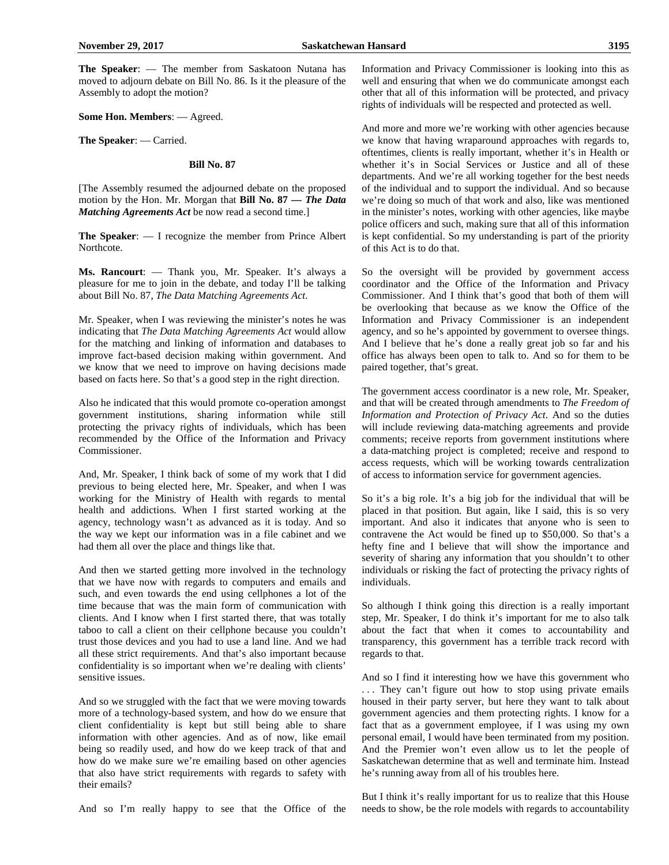**The Speaker**: — The member from Saskatoon Nutana has moved to adjourn debate on Bill No. 86. Is it the pleasure of the Assembly to adopt the motion?

**Some Hon. Members**: — Agreed.

**The Speaker**: — Carried.

#### **Bill No. 87**

[The Assembly resumed the adjourned debate on the proposed motion by the Hon. Mr. Morgan that **Bill No. 87 —** *The Data Matching Agreements Act* be now read a second time.]

**The Speaker**: — I recognize the member from Prince Albert Northcote.

**Ms. Rancourt**: — Thank you, Mr. Speaker. It's always a pleasure for me to join in the debate, and today I'll be talking about Bill No. 87, *The Data Matching Agreements Act*.

Mr. Speaker, when I was reviewing the minister's notes he was indicating that *The Data Matching Agreements Act* would allow for the matching and linking of information and databases to improve fact-based decision making within government. And we know that we need to improve on having decisions made based on facts here. So that's a good step in the right direction.

Also he indicated that this would promote co-operation amongst government institutions, sharing information while still protecting the privacy rights of individuals, which has been recommended by the Office of the Information and Privacy Commissioner.

And, Mr. Speaker, I think back of some of my work that I did previous to being elected here, Mr. Speaker, and when I was working for the Ministry of Health with regards to mental health and addictions. When I first started working at the agency, technology wasn't as advanced as it is today. And so the way we kept our information was in a file cabinet and we had them all over the place and things like that.

And then we started getting more involved in the technology that we have now with regards to computers and emails and such, and even towards the end using cellphones a lot of the time because that was the main form of communication with clients. And I know when I first started there, that was totally taboo to call a client on their cellphone because you couldn't trust those devices and you had to use a land line. And we had all these strict requirements. And that's also important because confidentiality is so important when we're dealing with clients' sensitive issues.

And so we struggled with the fact that we were moving towards more of a technology-based system, and how do we ensure that client confidentiality is kept but still being able to share information with other agencies. And as of now, like email being so readily used, and how do we keep track of that and how do we make sure we're emailing based on other agencies that also have strict requirements with regards to safety with their emails?

And so I'm really happy to see that the Office of the

Information and Privacy Commissioner is looking into this as well and ensuring that when we do communicate amongst each other that all of this information will be protected, and privacy rights of individuals will be respected and protected as well.

And more and more we're working with other agencies because we know that having wraparound approaches with regards to, oftentimes, clients is really important, whether it's in Health or whether it's in Social Services or Justice and all of these departments. And we're all working together for the best needs of the individual and to support the individual. And so because we're doing so much of that work and also, like was mentioned in the minister's notes, working with other agencies, like maybe police officers and such, making sure that all of this information is kept confidential. So my understanding is part of the priority of this Act is to do that.

So the oversight will be provided by government access coordinator and the Office of the Information and Privacy Commissioner. And I think that's good that both of them will be overlooking that because as we know the Office of the Information and Privacy Commissioner is an independent agency, and so he's appointed by government to oversee things. And I believe that he's done a really great job so far and his office has always been open to talk to. And so for them to be paired together, that's great.

The government access coordinator is a new role, Mr. Speaker, and that will be created through amendments to *The Freedom of Information and Protection of Privacy Act*. And so the duties will include reviewing data-matching agreements and provide comments; receive reports from government institutions where a data-matching project is completed; receive and respond to access requests, which will be working towards centralization of access to information service for government agencies.

So it's a big role. It's a big job for the individual that will be placed in that position. But again, like I said, this is so very important. And also it indicates that anyone who is seen to contravene the Act would be fined up to \$50,000. So that's a hefty fine and I believe that will show the importance and severity of sharing any information that you shouldn't to other individuals or risking the fact of protecting the privacy rights of individuals.

So although I think going this direction is a really important step, Mr. Speaker, I do think it's important for me to also talk about the fact that when it comes to accountability and transparency, this government has a terrible track record with regards to that.

And so I find it interesting how we have this government who ... They can't figure out how to stop using private emails housed in their party server, but here they want to talk about government agencies and them protecting rights. I know for a fact that as a government employee, if I was using my own personal email, I would have been terminated from my position. And the Premier won't even allow us to let the people of Saskatchewan determine that as well and terminate him. Instead he's running away from all of his troubles here.

But I think it's really important for us to realize that this House needs to show, be the role models with regards to accountability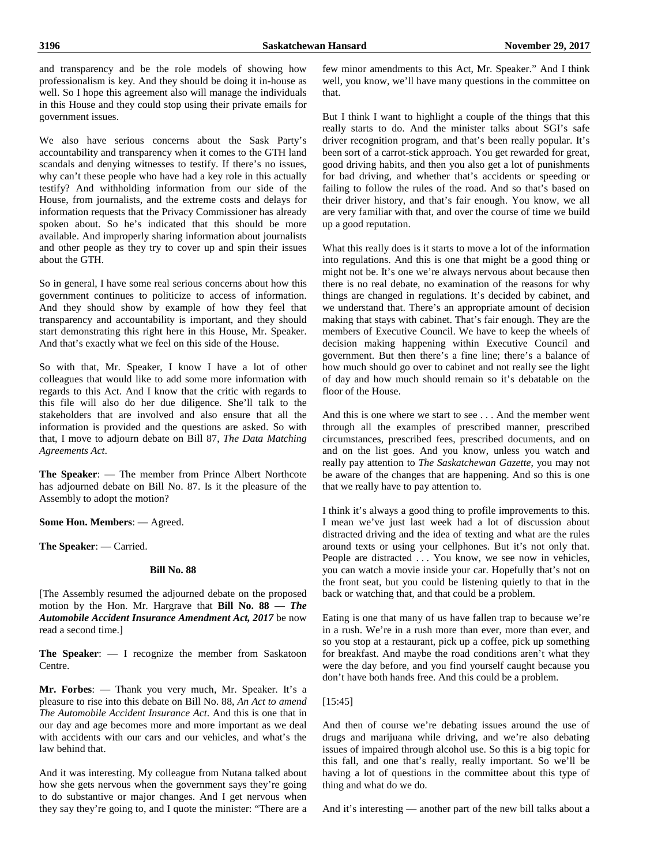and transparency and be the role models of showing how professionalism is key. And they should be doing it in-house as well. So I hope this agreement also will manage the individuals in this House and they could stop using their private emails for government issues.

We also have serious concerns about the Sask Party's accountability and transparency when it comes to the GTH land scandals and denying witnesses to testify. If there's no issues, why can't these people who have had a key role in this actually testify? And withholding information from our side of the House, from journalists, and the extreme costs and delays for information requests that the Privacy Commissioner has already spoken about. So he's indicated that this should be more available. And improperly sharing information about journalists and other people as they try to cover up and spin their issues about the GTH.

So in general, I have some real serious concerns about how this government continues to politicize to access of information. And they should show by example of how they feel that transparency and accountability is important, and they should start demonstrating this right here in this House, Mr. Speaker. And that's exactly what we feel on this side of the House.

So with that, Mr. Speaker, I know I have a lot of other colleagues that would like to add some more information with regards to this Act. And I know that the critic with regards to this file will also do her due diligence. She'll talk to the stakeholders that are involved and also ensure that all the information is provided and the questions are asked. So with that, I move to adjourn debate on Bill 87, *The Data Matching Agreements Act*.

**The Speaker**: — The member from Prince Albert Northcote has adjourned debate on Bill No. 87. Is it the pleasure of the Assembly to adopt the motion?

**Some Hon. Members**: — Agreed.

**The Speaker**: — Carried.

#### **Bill No. 88**

[The Assembly resumed the adjourned debate on the proposed motion by the Hon. Mr. Hargrave that **Bill No. 88 —** *The Automobile Accident Insurance Amendment Act, 2017* be now read a second time.]

**The Speaker**: — I recognize the member from Saskatoon Centre.

**Mr. Forbes**: — Thank you very much, Mr. Speaker. It's a pleasure to rise into this debate on Bill No. 88, *An Act to amend The Automobile Accident Insurance Act*. And this is one that in our day and age becomes more and more important as we deal with accidents with our cars and our vehicles, and what's the law behind that.

And it was interesting. My colleague from Nutana talked about how she gets nervous when the government says they're going to do substantive or major changes. And I get nervous when they say they're going to, and I quote the minister: "There are a few minor amendments to this Act, Mr. Speaker." And I think well, you know, we'll have many questions in the committee on that.

But I think I want to highlight a couple of the things that this really starts to do. And the minister talks about SGI's safe driver recognition program, and that's been really popular. It's been sort of a carrot-stick approach. You get rewarded for great, good driving habits, and then you also get a lot of punishments for bad driving, and whether that's accidents or speeding or failing to follow the rules of the road. And so that's based on their driver history, and that's fair enough. You know, we all are very familiar with that, and over the course of time we build up a good reputation.

What this really does is it starts to move a lot of the information into regulations. And this is one that might be a good thing or might not be. It's one we're always nervous about because then there is no real debate, no examination of the reasons for why things are changed in regulations. It's decided by cabinet, and we understand that. There's an appropriate amount of decision making that stays with cabinet. That's fair enough. They are the members of Executive Council. We have to keep the wheels of decision making happening within Executive Council and government. But then there's a fine line; there's a balance of how much should go over to cabinet and not really see the light of day and how much should remain so it's debatable on the floor of the House.

And this is one where we start to see . . . And the member went through all the examples of prescribed manner, prescribed circumstances, prescribed fees, prescribed documents, and on and on the list goes. And you know, unless you watch and really pay attention to *The Saskatchewan Gazette*, you may not be aware of the changes that are happening. And so this is one that we really have to pay attention to.

I think it's always a good thing to profile improvements to this. I mean we've just last week had a lot of discussion about distracted driving and the idea of texting and what are the rules around texts or using your cellphones. But it's not only that. People are distracted . . . You know, we see now in vehicles, you can watch a movie inside your car. Hopefully that's not on the front seat, but you could be listening quietly to that in the back or watching that, and that could be a problem.

Eating is one that many of us have fallen trap to because we're in a rush. We're in a rush more than ever, more than ever, and so you stop at a restaurant, pick up a coffee, pick up something for breakfast. And maybe the road conditions aren't what they were the day before, and you find yourself caught because you don't have both hands free. And this could be a problem.

#### [15:45]

And then of course we're debating issues around the use of drugs and marijuana while driving, and we're also debating issues of impaired through alcohol use. So this is a big topic for this fall, and one that's really, really important. So we'll be having a lot of questions in the committee about this type of thing and what do we do.

And it's interesting — another part of the new bill talks about a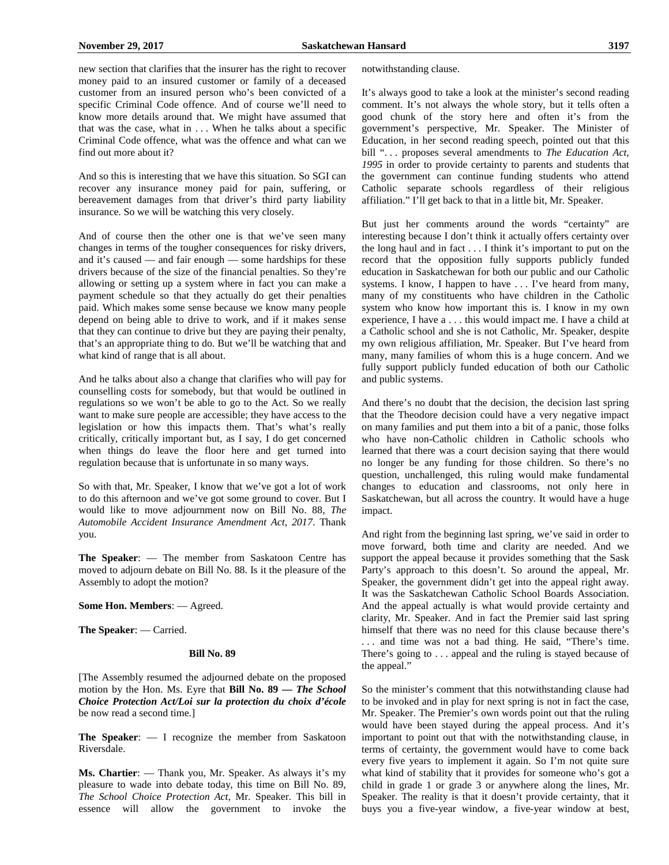new section that clarifies that the insurer has the right to recover money paid to an insured customer or family of a deceased customer from an insured person who's been convicted of a specific Criminal Code offence. And of course we'll need to know more details around that. We might have assumed that that was the case, what in  $\dots$ . When he talks about a specific Criminal Code offence, what was the offence and what can we find out more about it?

And so this is interesting that we have this situation. So SGI can recover any insurance money paid for pain, suffering, or bereavement damages from that driver's third party liability insurance. So we will be watching this very closely.

And of course then the other one is that we've seen many changes in terms of the tougher consequences for risky drivers, and it's caused — and fair enough — some hardships for these drivers because of the size of the financial penalties. So they're allowing or setting up a system where in fact you can make a payment schedule so that they actually do get their penalties paid. Which makes some sense because we know many people depend on being able to drive to work, and if it makes sense that they can continue to drive but they are paying their penalty, that's an appropriate thing to do. But we'll be watching that and what kind of range that is all about.

And he talks about also a change that clarifies who will pay for counselling costs for somebody, but that would be outlined in regulations so we won't be able to go to the Act. So we really want to make sure people are accessible; they have access to the legislation or how this impacts them. That's what's really critically, critically important but, as I say, I do get concerned when things do leave the floor here and get turned into regulation because that is unfortunate in so many ways.

So with that, Mr. Speaker, I know that we've got a lot of work to do this afternoon and we've got some ground to cover. But I would like to move adjournment now on Bill No. 88, *The Automobile Accident Insurance Amendment Act, 2017*. Thank you.

**The Speaker**: — The member from Saskatoon Centre has moved to adjourn debate on Bill No. 88. Is it the pleasure of the Assembly to adopt the motion?

**Some Hon. Members**: — Agreed.

**The Speaker**: — Carried.

#### **Bill No. 89**

[The Assembly resumed the adjourned debate on the proposed motion by the Hon. Ms. Eyre that **Bill No. 89 —** *The School Choice Protection Act/Loi sur la protection du choix d'école* be now read a second time.]

**The Speaker**: — I recognize the member from Saskatoon Riversdale.

**Ms. Chartier**: — Thank you, Mr. Speaker. As always it's my pleasure to wade into debate today, this time on Bill No. 89, *The School Choice Protection Act*, Mr. Speaker. This bill in essence will allow the government to invoke the notwithstanding clause.

It's always good to take a look at the minister's second reading comment. It's not always the whole story, but it tells often a good chunk of the story here and often it's from the government's perspective, Mr. Speaker. The Minister of Education, in her second reading speech, pointed out that this bill "... proposes several amendments to *The Education Act*, *1995* in order to provide certainty to parents and students that the government can continue funding students who attend Catholic separate schools regardless of their religious affiliation." I'll get back to that in a little bit, Mr. Speaker.

But just her comments around the words "certainty" are interesting because I don't think it actually offers certainty over the long haul and in fact . . . I think it's important to put on the record that the opposition fully supports publicly funded education in Saskatchewan for both our public and our Catholic systems. I know, I happen to have . . . I've heard from many, many of my constituents who have children in the Catholic system who know how important this is. I know in my own experience, I have a . . . this would impact me. I have a child at a Catholic school and she is not Catholic, Mr. Speaker, despite my own religious affiliation, Mr. Speaker. But I've heard from many, many families of whom this is a huge concern. And we fully support publicly funded education of both our Catholic and public systems.

And there's no doubt that the decision, the decision last spring that the Theodore decision could have a very negative impact on many families and put them into a bit of a panic, those folks who have non-Catholic children in Catholic schools who learned that there was a court decision saying that there would no longer be any funding for those children. So there's no question, unchallenged, this ruling would make fundamental changes to education and classrooms, not only here in Saskatchewan, but all across the country. It would have a huge impact.

And right from the beginning last spring, we've said in order to move forward, both time and clarity are needed. And we support the appeal because it provides something that the Sask Party's approach to this doesn't. So around the appeal, Mr. Speaker, the government didn't get into the appeal right away. It was the Saskatchewan Catholic School Boards Association. And the appeal actually is what would provide certainty and clarity, Mr. Speaker. And in fact the Premier said last spring himself that there was no need for this clause because there's . . . and time was not a bad thing. He said, "There's time. There's going to . . . appeal and the ruling is stayed because of the appeal."

So the minister's comment that this notwithstanding clause had to be invoked and in play for next spring is not in fact the case, Mr. Speaker. The Premier's own words point out that the ruling would have been stayed during the appeal process. And it's important to point out that with the notwithstanding clause, in terms of certainty, the government would have to come back every five years to implement it again. So I'm not quite sure what kind of stability that it provides for someone who's got a child in grade 1 or grade 3 or anywhere along the lines, Mr. Speaker. The reality is that it doesn't provide certainty, that it buys you a five-year window, a five-year window at best,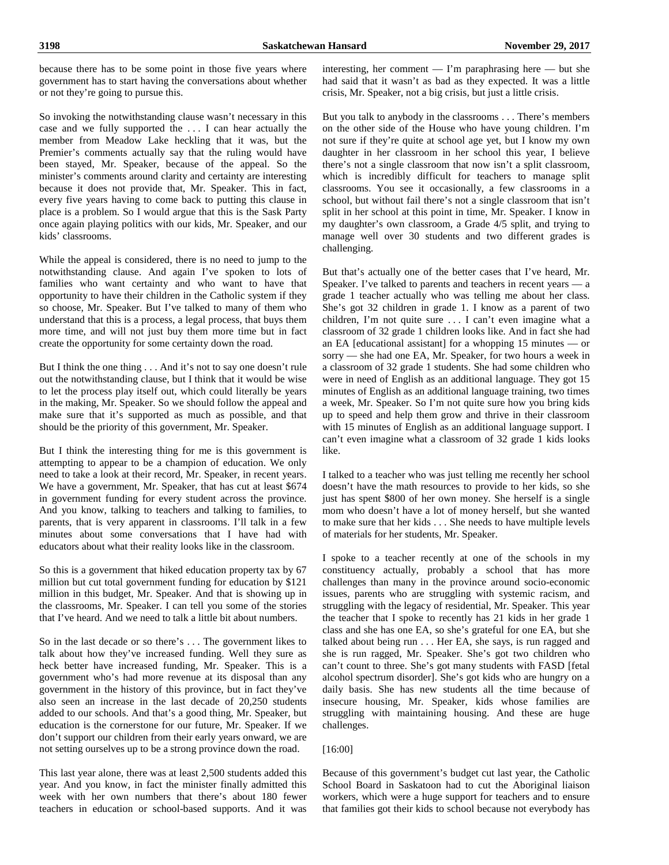So invoking the notwithstanding clause wasn't necessary in this case and we fully supported the . . . I can hear actually the member from Meadow Lake heckling that it was, but the Premier's comments actually say that the ruling would have been stayed, Mr. Speaker, because of the appeal. So the minister's comments around clarity and certainty are interesting because it does not provide that, Mr. Speaker. This in fact, every five years having to come back to putting this clause in place is a problem. So I would argue that this is the Sask Party once again playing politics with our kids, Mr. Speaker, and our kids' classrooms.

While the appeal is considered, there is no need to jump to the notwithstanding clause. And again I've spoken to lots of families who want certainty and who want to have that opportunity to have their children in the Catholic system if they so choose, Mr. Speaker. But I've talked to many of them who understand that this is a process, a legal process, that buys them more time, and will not just buy them more time but in fact create the opportunity for some certainty down the road.

But I think the one thing . . . And it's not to say one doesn't rule out the notwithstanding clause, but I think that it would be wise to let the process play itself out, which could literally be years in the making, Mr. Speaker. So we should follow the appeal and make sure that it's supported as much as possible, and that should be the priority of this government, Mr. Speaker.

But I think the interesting thing for me is this government is attempting to appear to be a champion of education. We only need to take a look at their record, Mr. Speaker, in recent years. We have a government, Mr. Speaker, that has cut at least \$674 in government funding for every student across the province. And you know, talking to teachers and talking to families, to parents, that is very apparent in classrooms. I'll talk in a few minutes about some conversations that I have had with educators about what their reality looks like in the classroom.

So this is a government that hiked education property tax by 67 million but cut total government funding for education by \$121 million in this budget, Mr. Speaker. And that is showing up in the classrooms, Mr. Speaker. I can tell you some of the stories that I've heard. And we need to talk a little bit about numbers.

So in the last decade or so there's . . . The government likes to talk about how they've increased funding. Well they sure as heck better have increased funding, Mr. Speaker. This is a government who's had more revenue at its disposal than any government in the history of this province, but in fact they've also seen an increase in the last decade of 20,250 students added to our schools. And that's a good thing, Mr. Speaker, but education is the cornerstone for our future, Mr. Speaker. If we don't support our children from their early years onward, we are not setting ourselves up to be a strong province down the road.

This last year alone, there was at least 2,500 students added this year. And you know, in fact the minister finally admitted this week with her own numbers that there's about 180 fewer teachers in education or school-based supports. And it was interesting, her comment — I'm paraphrasing here — but she had said that it wasn't as bad as they expected. It was a little crisis, Mr. Speaker, not a big crisis, but just a little crisis.

But you talk to anybody in the classrooms . . . There's members on the other side of the House who have young children. I'm not sure if they're quite at school age yet, but I know my own daughter in her classroom in her school this year, I believe there's not a single classroom that now isn't a split classroom, which is incredibly difficult for teachers to manage split classrooms. You see it occasionally, a few classrooms in a school, but without fail there's not a single classroom that isn't split in her school at this point in time, Mr. Speaker. I know in my daughter's own classroom, a Grade 4/5 split, and trying to manage well over 30 students and two different grades is challenging.

But that's actually one of the better cases that I've heard, Mr. Speaker. I've talked to parents and teachers in recent years — a grade 1 teacher actually who was telling me about her class. She's got 32 children in grade 1. I know as a parent of two children, I'm not quite sure . . . I can't even imagine what a classroom of 32 grade 1 children looks like. And in fact she had an EA [educational assistant] for a whopping 15 minutes — or sorry — she had one EA, Mr. Speaker, for two hours a week in a classroom of 32 grade 1 students. She had some children who were in need of English as an additional language. They got 15 minutes of English as an additional language training, two times a week, Mr. Speaker. So I'm not quite sure how you bring kids up to speed and help them grow and thrive in their classroom with 15 minutes of English as an additional language support. I can't even imagine what a classroom of 32 grade 1 kids looks like.

I talked to a teacher who was just telling me recently her school doesn't have the math resources to provide to her kids, so she just has spent \$800 of her own money. She herself is a single mom who doesn't have a lot of money herself, but she wanted to make sure that her kids . . . She needs to have multiple levels of materials for her students, Mr. Speaker.

I spoke to a teacher recently at one of the schools in my constituency actually, probably a school that has more challenges than many in the province around socio-economic issues, parents who are struggling with systemic racism, and struggling with the legacy of residential, Mr. Speaker. This year the teacher that I spoke to recently has 21 kids in her grade 1 class and she has one EA, so she's grateful for one EA, but she talked about being run . . . Her EA, she says, is run ragged and she is run ragged, Mr. Speaker. She's got two children who can't count to three. She's got many students with FASD [fetal alcohol spectrum disorder]. She's got kids who are hungry on a daily basis. She has new students all the time because of insecure housing, Mr. Speaker, kids whose families are struggling with maintaining housing. And these are huge challenges.

# [16:00]

Because of this government's budget cut last year, the Catholic School Board in Saskatoon had to cut the Aboriginal liaison workers, which were a huge support for teachers and to ensure that families got their kids to school because not everybody has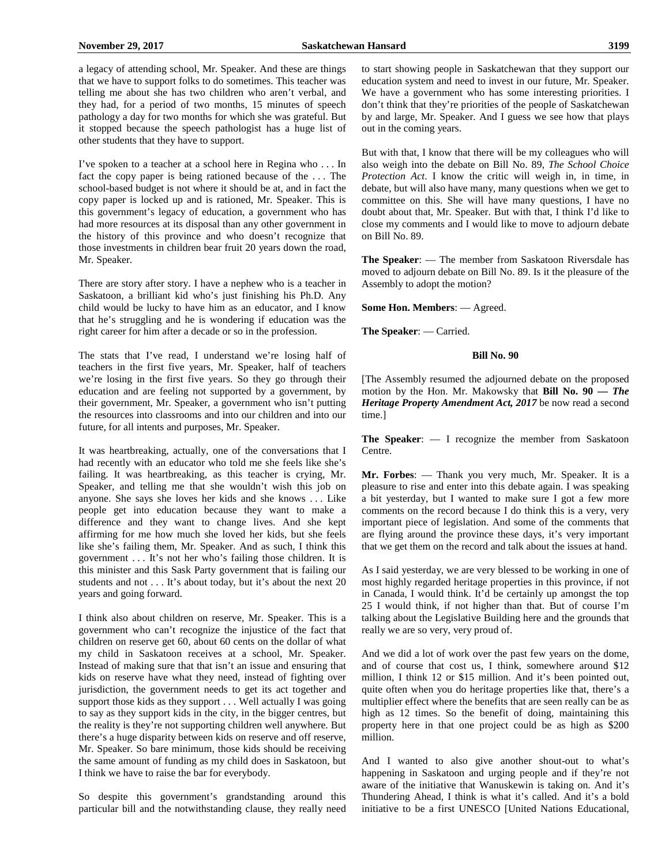a legacy of attending school, Mr. Speaker. And these are things that we have to support folks to do sometimes. This teacher was telling me about she has two children who aren't verbal, and they had, for a period of two months, 15 minutes of speech pathology a day for two months for which she was grateful. But it stopped because the speech pathologist has a huge list of other students that they have to support.

I've spoken to a teacher at a school here in Regina who . . . In fact the copy paper is being rationed because of the . . . The school-based budget is not where it should be at, and in fact the copy paper is locked up and is rationed, Mr. Speaker. This is this government's legacy of education, a government who has had more resources at its disposal than any other government in the history of this province and who doesn't recognize that those investments in children bear fruit 20 years down the road, Mr. Speaker.

There are story after story. I have a nephew who is a teacher in Saskatoon, a brilliant kid who's just finishing his Ph.D. Any child would be lucky to have him as an educator, and I know that he's struggling and he is wondering if education was the right career for him after a decade or so in the profession.

The stats that I've read, I understand we're losing half of teachers in the first five years, Mr. Speaker, half of teachers we're losing in the first five years. So they go through their education and are feeling not supported by a government, by their government, Mr. Speaker, a government who isn't putting the resources into classrooms and into our children and into our future, for all intents and purposes, Mr. Speaker.

It was heartbreaking, actually, one of the conversations that I had recently with an educator who told me she feels like she's failing. It was heartbreaking, as this teacher is crying, Mr. Speaker, and telling me that she wouldn't wish this job on anyone. She says she loves her kids and she knows . . . Like people get into education because they want to make a difference and they want to change lives. And she kept affirming for me how much she loved her kids, but she feels like she's failing them, Mr. Speaker. And as such, I think this government . . . It's not her who's failing those children. It is this minister and this Sask Party government that is failing our students and not . . . It's about today, but it's about the next 20 years and going forward.

I think also about children on reserve, Mr. Speaker. This is a government who can't recognize the injustice of the fact that children on reserve get 60, about 60 cents on the dollar of what my child in Saskatoon receives at a school, Mr. Speaker. Instead of making sure that that isn't an issue and ensuring that kids on reserve have what they need, instead of fighting over jurisdiction, the government needs to get its act together and support those kids as they support . . . Well actually I was going to say as they support kids in the city, in the bigger centres, but the reality is they're not supporting children well anywhere. But there's a huge disparity between kids on reserve and off reserve, Mr. Speaker. So bare minimum, those kids should be receiving the same amount of funding as my child does in Saskatoon, but I think we have to raise the bar for everybody.

So despite this government's grandstanding around this particular bill and the notwithstanding clause, they really need to start showing people in Saskatchewan that they support our education system and need to invest in our future, Mr. Speaker. We have a government who has some interesting priorities. I don't think that they're priorities of the people of Saskatchewan by and large, Mr. Speaker. And I guess we see how that plays out in the coming years.

But with that, I know that there will be my colleagues who will also weigh into the debate on Bill No. 89, *The School Choice Protection Act*. I know the critic will weigh in, in time, in debate, but will also have many, many questions when we get to committee on this. She will have many questions, I have no doubt about that, Mr. Speaker. But with that, I think I'd like to close my comments and I would like to move to adjourn debate on Bill No. 89.

**The Speaker**: — The member from Saskatoon Riversdale has moved to adjourn debate on Bill No. 89. Is it the pleasure of the Assembly to adopt the motion?

**Some Hon. Members**: — Agreed.

**The Speaker**: — Carried.

# **Bill No. 90**

[The Assembly resumed the adjourned debate on the proposed motion by the Hon. Mr. Makowsky that **Bill No. 90 —** *The Heritage Property Amendment Act, 2017* be now read a second time.]

**The Speaker**: — I recognize the member from Saskatoon Centre.

**Mr. Forbes**: — Thank you very much, Mr. Speaker. It is a pleasure to rise and enter into this debate again. I was speaking a bit yesterday, but I wanted to make sure I got a few more comments on the record because I do think this is a very, very important piece of legislation. And some of the comments that are flying around the province these days, it's very important that we get them on the record and talk about the issues at hand.

As I said yesterday, we are very blessed to be working in one of most highly regarded heritage properties in this province, if not in Canada, I would think. It'd be certainly up amongst the top 25 I would think, if not higher than that. But of course I'm talking about the Legislative Building here and the grounds that really we are so very, very proud of.

And we did a lot of work over the past few years on the dome, and of course that cost us, I think, somewhere around \$12 million, I think 12 or \$15 million. And it's been pointed out, quite often when you do heritage properties like that, there's a multiplier effect where the benefits that are seen really can be as high as 12 times. So the benefit of doing, maintaining this property here in that one project could be as high as \$200 million.

And I wanted to also give another shout-out to what's happening in Saskatoon and urging people and if they're not aware of the initiative that Wanuskewin is taking on. And it's Thundering Ahead, I think is what it's called. And it's a bold initiative to be a first UNESCO [United Nations Educational,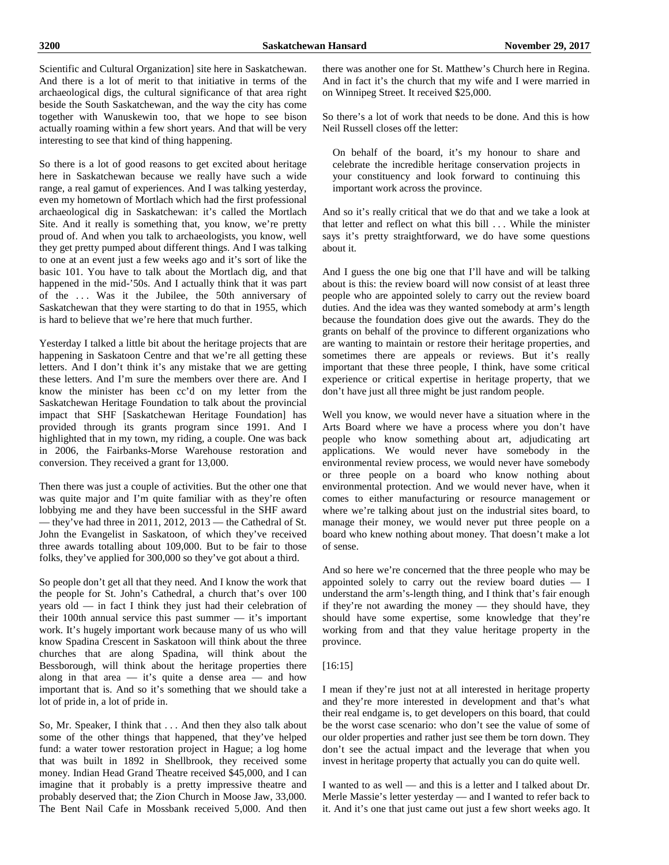Scientific and Cultural Organization] site here in Saskatchewan. And there is a lot of merit to that initiative in terms of the archaeological digs, the cultural significance of that area right beside the South Saskatchewan, and the way the city has come together with Wanuskewin too, that we hope to see bison actually roaming within a few short years. And that will be very interesting to see that kind of thing happening.

So there is a lot of good reasons to get excited about heritage here in Saskatchewan because we really have such a wide range, a real gamut of experiences. And I was talking yesterday, even my hometown of Mortlach which had the first professional archaeological dig in Saskatchewan: it's called the Mortlach Site. And it really is something that, you know, we're pretty proud of. And when you talk to archaeologists, you know, well they get pretty pumped about different things. And I was talking to one at an event just a few weeks ago and it's sort of like the basic 101. You have to talk about the Mortlach dig, and that happened in the mid-'50s. And I actually think that it was part of the . . . Was it the Jubilee, the 50th anniversary of Saskatchewan that they were starting to do that in 1955, which is hard to believe that we're here that much further.

Yesterday I talked a little bit about the heritage projects that are happening in Saskatoon Centre and that we're all getting these letters. And I don't think it's any mistake that we are getting these letters. And I'm sure the members over there are. And I know the minister has been cc'd on my letter from the Saskatchewan Heritage Foundation to talk about the provincial impact that SHF [Saskatchewan Heritage Foundation] has provided through its grants program since 1991. And I highlighted that in my town, my riding, a couple. One was back in 2006, the Fairbanks-Morse Warehouse restoration and conversion. They received a grant for 13,000.

Then there was just a couple of activities. But the other one that was quite major and I'm quite familiar with as they're often lobbying me and they have been successful in the SHF award — they've had three in 2011, 2012, 2013 — the Cathedral of St. John the Evangelist in Saskatoon, of which they've received three awards totalling about 109,000. But to be fair to those folks, they've applied for 300,000 so they've got about a third.

So people don't get all that they need. And I know the work that the people for St. John's Cathedral, a church that's over 100 years old — in fact I think they just had their celebration of their 100th annual service this past summer — it's important work. It's hugely important work because many of us who will know Spadina Crescent in Saskatoon will think about the three churches that are along Spadina, will think about the Bessborough, will think about the heritage properties there along in that area  $-$  it's quite a dense area  $-$  and how important that is. And so it's something that we should take a lot of pride in, a lot of pride in.

So, Mr. Speaker, I think that . . . And then they also talk about some of the other things that happened, that they've helped fund: a water tower restoration project in Hague; a log home that was built in 1892 in Shellbrook, they received some money. Indian Head Grand Theatre received \$45,000, and I can imagine that it probably is a pretty impressive theatre and probably deserved that; the Zion Church in Moose Jaw, 33,000. The Bent Nail Cafe in Mossbank received 5,000. And then there was another one for St. Matthew's Church here in Regina. And in fact it's the church that my wife and I were married in on Winnipeg Street. It received \$25,000.

So there's a lot of work that needs to be done. And this is how Neil Russell closes off the letter:

On behalf of the board, it's my honour to share and celebrate the incredible heritage conservation projects in your constituency and look forward to continuing this important work across the province.

And so it's really critical that we do that and we take a look at that letter and reflect on what this bill . . . While the minister says it's pretty straightforward, we do have some questions about it.

And I guess the one big one that I'll have and will be talking about is this: the review board will now consist of at least three people who are appointed solely to carry out the review board duties. And the idea was they wanted somebody at arm's length because the foundation does give out the awards. They do the grants on behalf of the province to different organizations who are wanting to maintain or restore their heritage properties, and sometimes there are appeals or reviews. But it's really important that these three people, I think, have some critical experience or critical expertise in heritage property, that we don't have just all three might be just random people.

Well you know, we would never have a situation where in the Arts Board where we have a process where you don't have people who know something about art, adjudicating art applications. We would never have somebody in the environmental review process, we would never have somebody or three people on a board who know nothing about environmental protection. And we would never have, when it comes to either manufacturing or resource management or where we're talking about just on the industrial sites board, to manage their money, we would never put three people on a board who knew nothing about money. That doesn't make a lot of sense.

And so here we're concerned that the three people who may be appointed solely to carry out the review board duties — I understand the arm's-length thing, and I think that's fair enough if they're not awarding the money — they should have, they should have some expertise, some knowledge that they're working from and that they value heritage property in the province.

# [16:15]

I mean if they're just not at all interested in heritage property and they're more interested in development and that's what their real endgame is, to get developers on this board, that could be the worst case scenario: who don't see the value of some of our older properties and rather just see them be torn down. They don't see the actual impact and the leverage that when you invest in heritage property that actually you can do quite well.

I wanted to as well — and this is a letter and I talked about Dr. Merle Massie's letter yesterday — and I wanted to refer back to it. And it's one that just came out just a few short weeks ago. It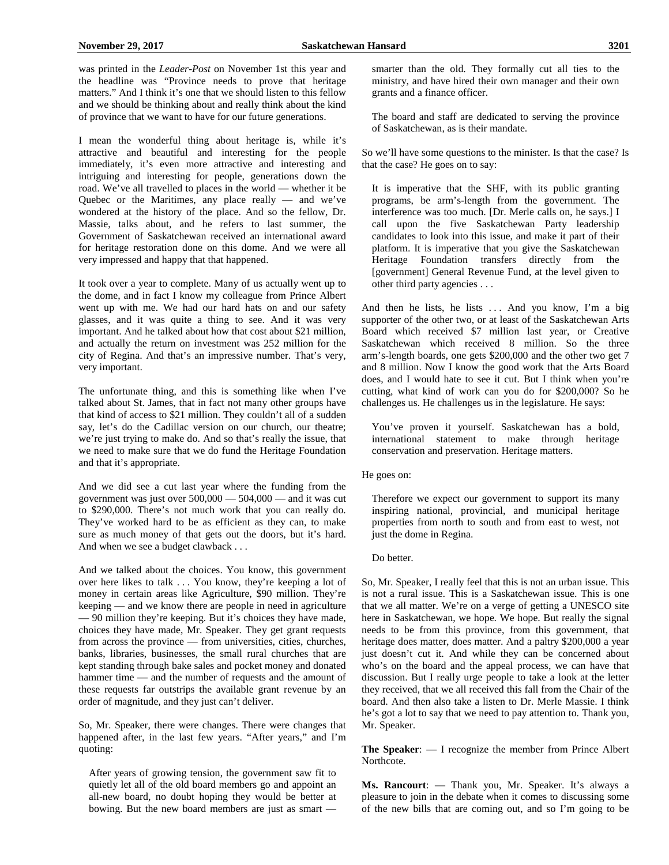was printed in the *Leader-Post* on November 1st this year and the headline was "Province needs to prove that heritage matters." And I think it's one that we should listen to this fellow and we should be thinking about and really think about the kind of province that we want to have for our future generations.

I mean the wonderful thing about heritage is, while it's attractive and beautiful and interesting for the people immediately, it's even more attractive and interesting and intriguing and interesting for people, generations down the road. We've all travelled to places in the world — whether it be Quebec or the Maritimes, any place really  $-$  and we've wondered at the history of the place. And so the fellow, Dr. Massie, talks about, and he refers to last summer, the Government of Saskatchewan received an international award for heritage restoration done on this dome. And we were all very impressed and happy that that happened.

It took over a year to complete. Many of us actually went up to the dome, and in fact I know my colleague from Prince Albert went up with me. We had our hard hats on and our safety glasses, and it was quite a thing to see. And it was very important. And he talked about how that cost about \$21 million, and actually the return on investment was 252 million for the city of Regina. And that's an impressive number. That's very, very important.

The unfortunate thing, and this is something like when I've talked about St. James, that in fact not many other groups have that kind of access to \$21 million. They couldn't all of a sudden say, let's do the Cadillac version on our church, our theatre; we're just trying to make do. And so that's really the issue, that we need to make sure that we do fund the Heritage Foundation and that it's appropriate.

And we did see a cut last year where the funding from the government was just over  $500,000 - 504,000 -$  and it was cut to \$290,000. There's not much work that you can really do. They've worked hard to be as efficient as they can, to make sure as much money of that gets out the doors, but it's hard. And when we see a budget clawback . . .

And we talked about the choices. You know, this government over here likes to talk . . . You know, they're keeping a lot of money in certain areas like Agriculture, \$90 million. They're keeping — and we know there are people in need in agriculture — 90 million they're keeping. But it's choices they have made, choices they have made, Mr. Speaker. They get grant requests from across the province — from universities, cities, churches, banks, libraries, businesses, the small rural churches that are kept standing through bake sales and pocket money and donated hammer time — and the number of requests and the amount of these requests far outstrips the available grant revenue by an order of magnitude, and they just can't deliver.

So, Mr. Speaker, there were changes. There were changes that happened after, in the last few years. "After years," and I'm quoting:

After years of growing tension, the government saw fit to quietly let all of the old board members go and appoint an all-new board, no doubt hoping they would be better at bowing. But the new board members are just as smart — smarter than the old. They formally cut all ties to the ministry, and have hired their own manager and their own grants and a finance officer.

The board and staff are dedicated to serving the province of Saskatchewan, as is their mandate.

So we'll have some questions to the minister. Is that the case? Is that the case? He goes on to say:

It is imperative that the SHF, with its public granting programs, be arm's-length from the government. The interference was too much. [Dr. Merle calls on, he says.] I call upon the five Saskatchewan Party leadership candidates to look into this issue, and make it part of their platform. It is imperative that you give the Saskatchewan Heritage Foundation transfers directly from the [government] General Revenue Fund, at the level given to other third party agencies . . .

And then he lists, he lists  $\ldots$  And you know, I'm a big supporter of the other two, or at least of the Saskatchewan Arts Board which received \$7 million last year, or Creative Saskatchewan which received 8 million. So the three arm's-length boards, one gets \$200,000 and the other two get 7 and 8 million. Now I know the good work that the Arts Board does, and I would hate to see it cut. But I think when you're cutting, what kind of work can you do for \$200,000? So he challenges us. He challenges us in the legislature. He says:

You've proven it yourself. Saskatchewan has a bold, international statement to make through heritage conservation and preservation. Heritage matters.

He goes on:

Therefore we expect our government to support its many inspiring national, provincial, and municipal heritage properties from north to south and from east to west, not just the dome in Regina.

Do better.

So, Mr. Speaker, I really feel that this is not an urban issue. This is not a rural issue. This is a Saskatchewan issue. This is one that we all matter. We're on a verge of getting a UNESCO site here in Saskatchewan, we hope. We hope. But really the signal needs to be from this province, from this government, that heritage does matter, does matter. And a paltry \$200,000 a year just doesn't cut it. And while they can be concerned about who's on the board and the appeal process, we can have that discussion. But I really urge people to take a look at the letter they received, that we all received this fall from the Chair of the board. And then also take a listen to Dr. Merle Massie. I think he's got a lot to say that we need to pay attention to. Thank you, Mr. Speaker.

**The Speaker**: — I recognize the member from Prince Albert Northcote.

**Ms. Rancourt**: — Thank you, Mr. Speaker. It's always a pleasure to join in the debate when it comes to discussing some of the new bills that are coming out, and so I'm going to be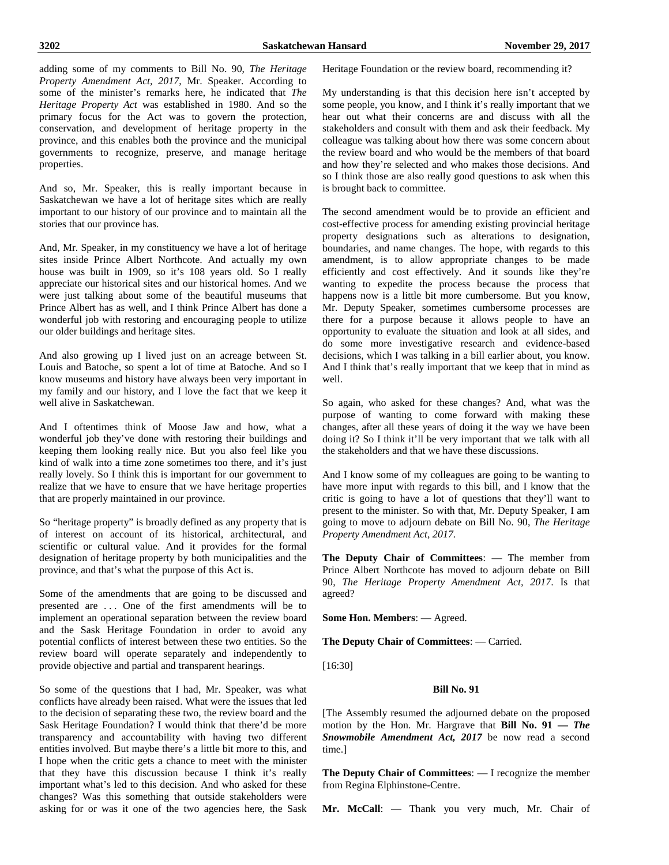adding some of my comments to Bill No. 90, *The Heritage Property Amendment Act, 2017*, Mr. Speaker. According to some of the minister's remarks here, he indicated that *The Heritage Property Act* was established in 1980. And so the primary focus for the Act was to govern the protection, conservation, and development of heritage property in the province, and this enables both the province and the municipal governments to recognize, preserve, and manage heritage properties.

And so, Mr. Speaker, this is really important because in Saskatchewan we have a lot of heritage sites which are really important to our history of our province and to maintain all the stories that our province has.

And, Mr. Speaker, in my constituency we have a lot of heritage sites inside Prince Albert Northcote. And actually my own house was built in 1909, so it's 108 years old. So I really appreciate our historical sites and our historical homes. And we were just talking about some of the beautiful museums that Prince Albert has as well, and I think Prince Albert has done a wonderful job with restoring and encouraging people to utilize our older buildings and heritage sites.

And also growing up I lived just on an acreage between St. Louis and Batoche, so spent a lot of time at Batoche. And so I know museums and history have always been very important in my family and our history, and I love the fact that we keep it well alive in Saskatchewan.

And I oftentimes think of Moose Jaw and how, what a wonderful job they've done with restoring their buildings and keeping them looking really nice. But you also feel like you kind of walk into a time zone sometimes too there, and it's just really lovely. So I think this is important for our government to realize that we have to ensure that we have heritage properties that are properly maintained in our province.

So "heritage property" is broadly defined as any property that is of interest on account of its historical, architectural, and scientific or cultural value. And it provides for the formal designation of heritage property by both municipalities and the province, and that's what the purpose of this Act is.

Some of the amendments that are going to be discussed and presented are . . . One of the first amendments will be to implement an operational separation between the review board and the Sask Heritage Foundation in order to avoid any potential conflicts of interest between these two entities. So the review board will operate separately and independently to provide objective and partial and transparent hearings.

So some of the questions that I had, Mr. Speaker, was what conflicts have already been raised. What were the issues that led to the decision of separating these two, the review board and the Sask Heritage Foundation? I would think that there'd be more transparency and accountability with having two different entities involved. But maybe there's a little bit more to this, and I hope when the critic gets a chance to meet with the minister that they have this discussion because I think it's really important what's led to this decision. And who asked for these changes? Was this something that outside stakeholders were asking for or was it one of the two agencies here, the Sask Heritage Foundation or the review board, recommending it?

My understanding is that this decision here isn't accepted by some people, you know, and I think it's really important that we hear out what their concerns are and discuss with all the stakeholders and consult with them and ask their feedback. My colleague was talking about how there was some concern about the review board and who would be the members of that board and how they're selected and who makes those decisions. And so I think those are also really good questions to ask when this is brought back to committee.

The second amendment would be to provide an efficient and cost-effective process for amending existing provincial heritage property designations such as alterations to designation, boundaries, and name changes. The hope, with regards to this amendment, is to allow appropriate changes to be made efficiently and cost effectively. And it sounds like they're wanting to expedite the process because the process that happens now is a little bit more cumbersome. But you know, Mr. Deputy Speaker, sometimes cumbersome processes are there for a purpose because it allows people to have an opportunity to evaluate the situation and look at all sides, and do some more investigative research and evidence-based decisions, which I was talking in a bill earlier about, you know. And I think that's really important that we keep that in mind as well.

So again, who asked for these changes? And, what was the purpose of wanting to come forward with making these changes, after all these years of doing it the way we have been doing it? So I think it'll be very important that we talk with all the stakeholders and that we have these discussions.

And I know some of my colleagues are going to be wanting to have more input with regards to this bill, and I know that the critic is going to have a lot of questions that they'll want to present to the minister. So with that, Mr. Deputy Speaker, I am going to move to adjourn debate on Bill No. 90, *The Heritage Property Amendment Act, 2017.*

**The Deputy Chair of Committees**: — The member from Prince Albert Northcote has moved to adjourn debate on Bill 90, *The Heritage Property Amendment Act, 2017*. Is that agreed?

**Some Hon. Members**: — Agreed.

**The Deputy Chair of Committees**: — Carried.

[16:30]

#### **Bill No. 91**

[The Assembly resumed the adjourned debate on the proposed motion by the Hon. Mr. Hargrave that **Bill No. 91 —** *The Snowmobile Amendment Act, 2017* be now read a second time.]

**The Deputy Chair of Committees**: — I recognize the member from Regina Elphinstone-Centre.

**Mr. McCall**: — Thank you very much, Mr. Chair of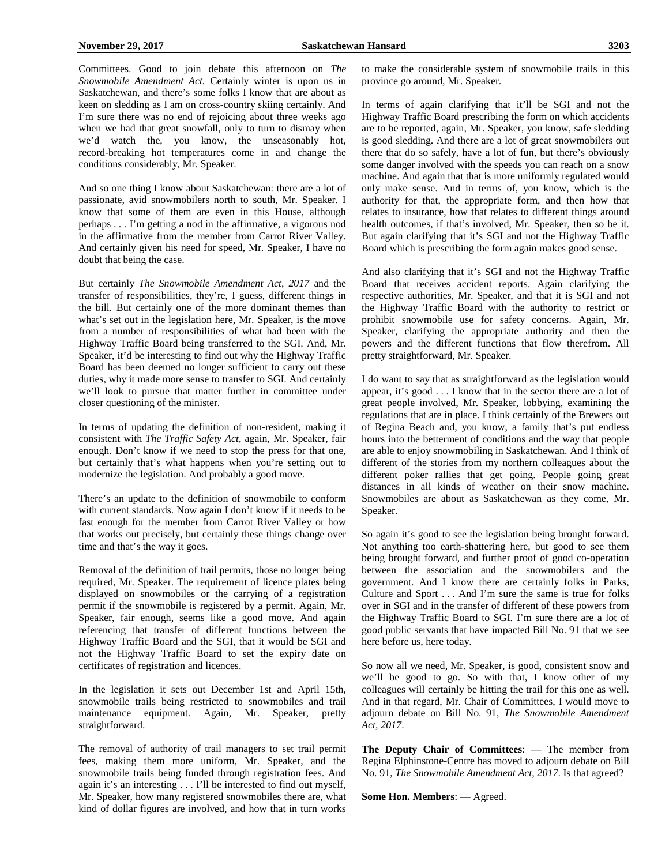Committees. Good to join debate this afternoon on *The Snowmobile Amendment Act.* Certainly winter is upon us in Saskatchewan, and there's some folks I know that are about as keen on sledding as I am on cross-country skiing certainly. And I'm sure there was no end of rejoicing about three weeks ago when we had that great snowfall, only to turn to dismay when we'd watch the, you know, the unseasonably hot, record-breaking hot temperatures come in and change the conditions considerably, Mr. Speaker.

And so one thing I know about Saskatchewan: there are a lot of passionate, avid snowmobilers north to south, Mr. Speaker. I know that some of them are even in this House, although perhaps . . . I'm getting a nod in the affirmative, a vigorous nod in the affirmative from the member from Carrot River Valley. And certainly given his need for speed, Mr. Speaker, I have no doubt that being the case.

But certainly *The Snowmobile Amendment Act, 2017* and the transfer of responsibilities, they're, I guess, different things in the bill. But certainly one of the more dominant themes than what's set out in the legislation here, Mr. Speaker, is the move from a number of responsibilities of what had been with the Highway Traffic Board being transferred to the SGI. And, Mr. Speaker, it'd be interesting to find out why the Highway Traffic Board has been deemed no longer sufficient to carry out these duties, why it made more sense to transfer to SGI. And certainly we'll look to pursue that matter further in committee under closer questioning of the minister.

In terms of updating the definition of non-resident, making it consistent with *The Traffic Safety Act*, again, Mr. Speaker, fair enough. Don't know if we need to stop the press for that one, but certainly that's what happens when you're setting out to modernize the legislation. And probably a good move.

There's an update to the definition of snowmobile to conform with current standards. Now again I don't know if it needs to be fast enough for the member from Carrot River Valley or how that works out precisely, but certainly these things change over time and that's the way it goes.

Removal of the definition of trail permits, those no longer being required, Mr. Speaker. The requirement of licence plates being displayed on snowmobiles or the carrying of a registration permit if the snowmobile is registered by a permit. Again, Mr. Speaker, fair enough, seems like a good move. And again referencing that transfer of different functions between the Highway Traffic Board and the SGI, that it would be SGI and not the Highway Traffic Board to set the expiry date on certificates of registration and licences.

In the legislation it sets out December 1st and April 15th, snowmobile trails being restricted to snowmobiles and trail maintenance equipment. Again, Mr. Speaker, pretty straightforward.

The removal of authority of trail managers to set trail permit fees, making them more uniform, Mr. Speaker, and the snowmobile trails being funded through registration fees. And again it's an interesting . . . I'll be interested to find out myself, Mr. Speaker, how many registered snowmobiles there are, what kind of dollar figures are involved, and how that in turn works to make the considerable system of snowmobile trails in this province go around, Mr. Speaker.

In terms of again clarifying that it'll be SGI and not the Highway Traffic Board prescribing the form on which accidents are to be reported, again, Mr. Speaker, you know, safe sledding is good sledding. And there are a lot of great snowmobilers out there that do so safely, have a lot of fun, but there's obviously some danger involved with the speeds you can reach on a snow machine. And again that that is more uniformly regulated would only make sense. And in terms of, you know, which is the authority for that, the appropriate form, and then how that relates to insurance, how that relates to different things around health outcomes, if that's involved, Mr. Speaker, then so be it. But again clarifying that it's SGI and not the Highway Traffic Board which is prescribing the form again makes good sense.

And also clarifying that it's SGI and not the Highway Traffic Board that receives accident reports. Again clarifying the respective authorities, Mr. Speaker, and that it is SGI and not the Highway Traffic Board with the authority to restrict or prohibit snowmobile use for safety concerns. Again, Mr. Speaker, clarifying the appropriate authority and then the powers and the different functions that flow therefrom. All pretty straightforward, Mr. Speaker.

I do want to say that as straightforward as the legislation would appear, it's good . . . I know that in the sector there are a lot of great people involved, Mr. Speaker, lobbying, examining the regulations that are in place. I think certainly of the Brewers out of Regina Beach and, you know, a family that's put endless hours into the betterment of conditions and the way that people are able to enjoy snowmobiling in Saskatchewan. And I think of different of the stories from my northern colleagues about the different poker rallies that get going. People going great distances in all kinds of weather on their snow machine. Snowmobiles are about as Saskatchewan as they come, Mr. Speaker.

So again it's good to see the legislation being brought forward. Not anything too earth-shattering here, but good to see them being brought forward, and further proof of good co-operation between the association and the snowmobilers and the government. And I know there are certainly folks in Parks, Culture and Sport . . . And I'm sure the same is true for folks over in SGI and in the transfer of different of these powers from the Highway Traffic Board to SGI. I'm sure there are a lot of good public servants that have impacted Bill No. 91 that we see here before us, here today.

So now all we need, Mr. Speaker, is good, consistent snow and we'll be good to go. So with that, I know other of my colleagues will certainly be hitting the trail for this one as well. And in that regard, Mr. Chair of Committees, I would move to adjourn debate on Bill No. 91, *The Snowmobile Amendment Act, 2017*.

**The Deputy Chair of Committees**: — The member from Regina Elphinstone-Centre has moved to adjourn debate on Bill No. 91, *The Snowmobile Amendment Act, 2017*. Is that agreed?

**Some Hon. Members**: — Agreed.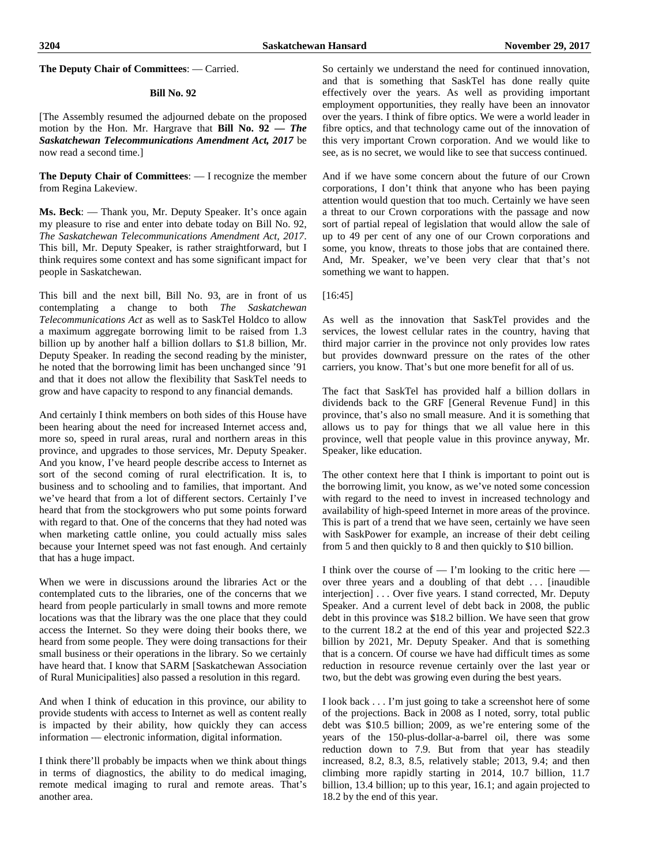**The Deputy Chair of Committees**: — Carried.

#### **Bill No. 92**

[The Assembly resumed the adjourned debate on the proposed motion by the Hon. Mr. Hargrave that **Bill No. 92 —** *The Saskatchewan Telecommunications Amendment Act, 2017* be now read a second time.]

**The Deputy Chair of Committees**: — I recognize the member from Regina Lakeview.

**Ms. Beck**: — Thank you, Mr. Deputy Speaker. It's once again my pleasure to rise and enter into debate today on Bill No. 92, *The Saskatchewan Telecommunications Amendment Act, 2017*. This bill, Mr. Deputy Speaker, is rather straightforward, but I think requires some context and has some significant impact for people in Saskatchewan.

This bill and the next bill, Bill No. 93, are in front of us contemplating a change to both *The Saskatchewan Telecommunications Act* as well as to SaskTel Holdco to allow a maximum aggregate borrowing limit to be raised from 1.3 billion up by another half a billion dollars to \$1.8 billion, Mr. Deputy Speaker. In reading the second reading by the minister, he noted that the borrowing limit has been unchanged since '91 and that it does not allow the flexibility that SaskTel needs to grow and have capacity to respond to any financial demands.

And certainly I think members on both sides of this House have been hearing about the need for increased Internet access and, more so, speed in rural areas, rural and northern areas in this province, and upgrades to those services, Mr. Deputy Speaker. And you know, I've heard people describe access to Internet as sort of the second coming of rural electrification. It is, to business and to schooling and to families, that important. And we've heard that from a lot of different sectors. Certainly I've heard that from the stockgrowers who put some points forward with regard to that. One of the concerns that they had noted was when marketing cattle online, you could actually miss sales because your Internet speed was not fast enough. And certainly that has a huge impact.

When we were in discussions around the libraries Act or the contemplated cuts to the libraries, one of the concerns that we heard from people particularly in small towns and more remote locations was that the library was the one place that they could access the Internet. So they were doing their books there, we heard from some people. They were doing transactions for their small business or their operations in the library. So we certainly have heard that. I know that SARM [Saskatchewan Association of Rural Municipalities] also passed a resolution in this regard.

And when I think of education in this province, our ability to provide students with access to Internet as well as content really is impacted by their ability, how quickly they can access information — electronic information, digital information.

I think there'll probably be impacts when we think about things in terms of diagnostics, the ability to do medical imaging, remote medical imaging to rural and remote areas. That's another area.

So certainly we understand the need for continued innovation, and that is something that SaskTel has done really quite effectively over the years. As well as providing important employment opportunities, they really have been an innovator over the years. I think of fibre optics. We were a world leader in fibre optics, and that technology came out of the innovation of this very important Crown corporation. And we would like to see, as is no secret, we would like to see that success continued.

And if we have some concern about the future of our Crown corporations, I don't think that anyone who has been paying attention would question that too much. Certainly we have seen a threat to our Crown corporations with the passage and now sort of partial repeal of legislation that would allow the sale of up to 49 per cent of any one of our Crown corporations and some, you know, threats to those jobs that are contained there. And, Mr. Speaker, we've been very clear that that's not something we want to happen.

#### [16:45]

As well as the innovation that SaskTel provides and the services, the lowest cellular rates in the country, having that third major carrier in the province not only provides low rates but provides downward pressure on the rates of the other carriers, you know. That's but one more benefit for all of us.

The fact that SaskTel has provided half a billion dollars in dividends back to the GRF [General Revenue Fund] in this province, that's also no small measure. And it is something that allows us to pay for things that we all value here in this province, well that people value in this province anyway, Mr. Speaker, like education.

The other context here that I think is important to point out is the borrowing limit, you know, as we've noted some concession with regard to the need to invest in increased technology and availability of high-speed Internet in more areas of the province. This is part of a trend that we have seen, certainly we have seen with SaskPower for example, an increase of their debt ceiling from 5 and then quickly to 8 and then quickly to \$10 billion.

I think over the course of — I'm looking to the critic here over three years and a doubling of that debt . . . [inaudible interjection] . . . Over five years. I stand corrected, Mr. Deputy Speaker. And a current level of debt back in 2008, the public debt in this province was \$18.2 billion. We have seen that grow to the current 18.2 at the end of this year and projected \$22.3 billion by 2021, Mr. Deputy Speaker. And that is something that is a concern. Of course we have had difficult times as some reduction in resource revenue certainly over the last year or two, but the debt was growing even during the best years.

I look back . . . I'm just going to take a screenshot here of some of the projections. Back in 2008 as I noted, sorry, total public debt was \$10.5 billion; 2009, as we're entering some of the years of the 150-plus-dollar-a-barrel oil, there was some reduction down to 7.9. But from that year has steadily increased, 8.2, 8.3, 8.5, relatively stable; 2013, 9.4; and then climbing more rapidly starting in 2014, 10.7 billion, 11.7 billion, 13.4 billion; up to this year, 16.1; and again projected to 18.2 by the end of this year.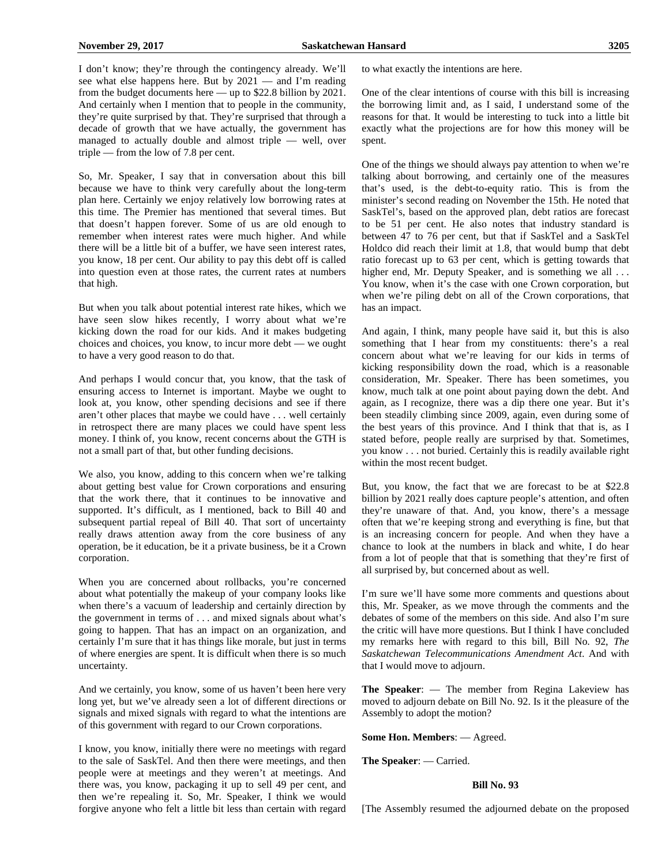I don't know; they're through the contingency already. We'll see what else happens here. But by 2021 — and I'm reading from the budget documents here — up to \$22.8 billion by 2021. And certainly when I mention that to people in the community, they're quite surprised by that. They're surprised that through a decade of growth that we have actually, the government has managed to actually double and almost triple — well, over triple — from the low of 7.8 per cent.

So, Mr. Speaker, I say that in conversation about this bill because we have to think very carefully about the long-term plan here. Certainly we enjoy relatively low borrowing rates at this time. The Premier has mentioned that several times. But that doesn't happen forever. Some of us are old enough to remember when interest rates were much higher. And while there will be a little bit of a buffer, we have seen interest rates, you know, 18 per cent. Our ability to pay this debt off is called into question even at those rates, the current rates at numbers that high.

But when you talk about potential interest rate hikes, which we have seen slow hikes recently, I worry about what we're kicking down the road for our kids. And it makes budgeting choices and choices, you know, to incur more debt — we ought to have a very good reason to do that.

And perhaps I would concur that, you know, that the task of ensuring access to Internet is important. Maybe we ought to look at, you know, other spending decisions and see if there aren't other places that maybe we could have . . . well certainly in retrospect there are many places we could have spent less money. I think of, you know, recent concerns about the GTH is not a small part of that, but other funding decisions.

We also, you know, adding to this concern when we're talking about getting best value for Crown corporations and ensuring that the work there, that it continues to be innovative and supported. It's difficult, as I mentioned, back to Bill 40 and subsequent partial repeal of Bill 40. That sort of uncertainty really draws attention away from the core business of any operation, be it education, be it a private business, be it a Crown corporation.

When you are concerned about rollbacks, you're concerned about what potentially the makeup of your company looks like when there's a vacuum of leadership and certainly direction by the government in terms of . . . and mixed signals about what's going to happen. That has an impact on an organization, and certainly I'm sure that it has things like morale, but just in terms of where energies are spent. It is difficult when there is so much uncertainty.

And we certainly, you know, some of us haven't been here very long yet, but we've already seen a lot of different directions or signals and mixed signals with regard to what the intentions are of this government with regard to our Crown corporations.

I know, you know, initially there were no meetings with regard to the sale of SaskTel. And then there were meetings, and then people were at meetings and they weren't at meetings. And there was, you know, packaging it up to sell 49 per cent, and then we're repealing it. So, Mr. Speaker, I think we would forgive anyone who felt a little bit less than certain with regard to what exactly the intentions are here.

One of the clear intentions of course with this bill is increasing the borrowing limit and, as I said, I understand some of the reasons for that. It would be interesting to tuck into a little bit exactly what the projections are for how this money will be spent.

One of the things we should always pay attention to when we're talking about borrowing, and certainly one of the measures that's used, is the debt-to-equity ratio. This is from the minister's second reading on November the 15th. He noted that SaskTel's, based on the approved plan, debt ratios are forecast to be 51 per cent. He also notes that industry standard is between 47 to 76 per cent, but that if SaskTel and a SaskTel Holdco did reach their limit at 1.8, that would bump that debt ratio forecast up to 63 per cent, which is getting towards that higher end, Mr. Deputy Speaker, and is something we all ... You know, when it's the case with one Crown corporation, but when we're piling debt on all of the Crown corporations, that has an impact.

And again, I think, many people have said it, but this is also something that I hear from my constituents: there's a real concern about what we're leaving for our kids in terms of kicking responsibility down the road, which is a reasonable consideration, Mr. Speaker. There has been sometimes, you know, much talk at one point about paying down the debt. And again, as I recognize, there was a dip there one year. But it's been steadily climbing since 2009, again, even during some of the best years of this province. And I think that that is, as I stated before, people really are surprised by that. Sometimes, you know . . . not buried. Certainly this is readily available right within the most recent budget.

But, you know, the fact that we are forecast to be at \$22.8 billion by 2021 really does capture people's attention, and often they're unaware of that. And, you know, there's a message often that we're keeping strong and everything is fine, but that is an increasing concern for people. And when they have a chance to look at the numbers in black and white, I do hear from a lot of people that that is something that they're first of all surprised by, but concerned about as well.

I'm sure we'll have some more comments and questions about this, Mr. Speaker, as we move through the comments and the debates of some of the members on this side. And also I'm sure the critic will have more questions. But I think I have concluded my remarks here with regard to this bill, Bill No. 92, *The Saskatchewan Telecommunications Amendment Act*. And with that I would move to adjourn.

**The Speaker**: — The member from Regina Lakeview has moved to adjourn debate on Bill No. 92. Is it the pleasure of the Assembly to adopt the motion?

**Some Hon. Members**: — Agreed.

**The Speaker**: — Carried.

#### **Bill No. 93**

[The Assembly resumed the adjourned debate on the proposed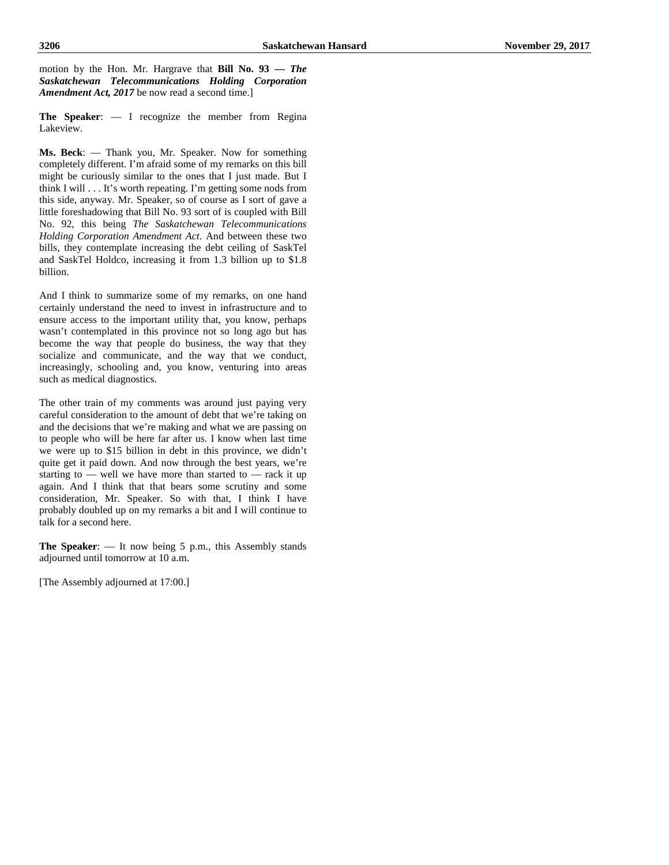motion by the Hon. Mr. Hargrave that **Bill No. 93 —** *The Saskatchewan Telecommunications Holding Corporation Amendment Act, 2017* be now read a second time.

**The Speaker**: — I recognize the member from Regina Lakeview.

**Ms. Beck**: — Thank you, Mr. Speaker. Now for something completely different. I'm afraid some of my remarks on this bill might be curiously similar to the ones that I just made. But I think I will . . . It's worth repeating. I'm getting some nods from this side, anyway. Mr. Speaker, so of course as I sort of gave a little foreshadowing that Bill No. 93 sort of is coupled with Bill No. 92, this being *The Saskatchewan Telecommunications Holding Corporation Amendment Act*. And between these two bills, they contemplate increasing the debt ceiling of SaskTel and SaskTel Holdco, increasing it from 1.3 billion up to \$1.8 billion.

And I think to summarize some of my remarks, on one hand certainly understand the need to invest in infrastructure and to ensure access to the important utility that, you know, perhaps wasn't contemplated in this province not so long ago but has become the way that people do business, the way that they socialize and communicate, and the way that we conduct, increasingly, schooling and, you know, venturing into areas such as medical diagnostics.

The other train of my comments was around just paying very careful consideration to the amount of debt that we're taking on and the decisions that we're making and what we are passing on to people who will be here far after us. I know when last time we were up to \$15 billion in debt in this province, we didn't quite get it paid down. And now through the best years, we're starting to — well we have more than started to — rack it up again. And I think that that bears some scrutiny and some consideration, Mr. Speaker. So with that, I think I have probably doubled up on my remarks a bit and I will continue to talk for a second here.

**The Speaker**: — It now being 5 p.m., this Assembly stands adjourned until tomorrow at 10 a.m.

[The Assembly adjourned at 17:00.]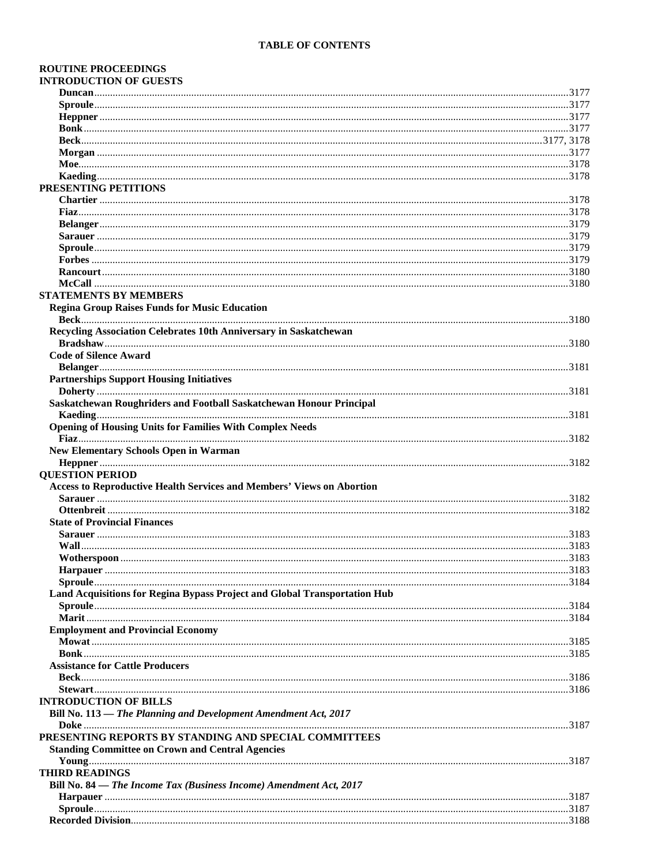| <b>ROUTINE PROCEEDINGS</b>                                                |  |
|---------------------------------------------------------------------------|--|
| <b>INTRODUCTION OF GUESTS</b>                                             |  |
|                                                                           |  |
|                                                                           |  |
|                                                                           |  |
|                                                                           |  |
|                                                                           |  |
|                                                                           |  |
|                                                                           |  |
|                                                                           |  |
| PRESENTING PETITIONS                                                      |  |
|                                                                           |  |
|                                                                           |  |
|                                                                           |  |
|                                                                           |  |
|                                                                           |  |
|                                                                           |  |
|                                                                           |  |
|                                                                           |  |
| <b>STATEMENTS BY MEMBERS</b>                                              |  |
| <b>Regina Group Raises Funds for Music Education</b>                      |  |
|                                                                           |  |
| Recycling Association Celebrates 10th Anniversary in Saskatchewan         |  |
|                                                                           |  |
| <b>Code of Silence Award</b>                                              |  |
|                                                                           |  |
| <b>Partnerships Support Housing Initiatives</b>                           |  |
|                                                                           |  |
| Saskatchewan Roughriders and Football Saskatchewan Honour Principal       |  |
|                                                                           |  |
| <b>Opening of Housing Units for Families With Complex Needs</b>           |  |
|                                                                           |  |
| <b>New Elementary Schools Open in Warman</b>                              |  |
| <b>QUESTION PERIOD</b>                                                    |  |
| Access to Reproductive Health Services and Members' Views on Abortion     |  |
|                                                                           |  |
|                                                                           |  |
| <b>State of Provincial Finances</b>                                       |  |
|                                                                           |  |
|                                                                           |  |
|                                                                           |  |
|                                                                           |  |
|                                                                           |  |
| Land Acquisitions for Regina Bypass Project and Global Transportation Hub |  |
|                                                                           |  |
|                                                                           |  |
| <b>Employment and Provincial Economy</b>                                  |  |
|                                                                           |  |
|                                                                           |  |
| <b>Assistance for Cattle Producers</b>                                    |  |
|                                                                           |  |
|                                                                           |  |
| <b>INTRODUCTION OF BILLS</b>                                              |  |
| Bill No. 113 - The Planning and Development Amendment Act, 2017           |  |
|                                                                           |  |
| PRESENTING REPORTS BY STANDING AND SPECIAL COMMITTEES                     |  |
| <b>Standing Committee on Crown and Central Agencies</b>                   |  |
|                                                                           |  |
| <b>THIRD READINGS</b>                                                     |  |
| Bill No. 84 - The Income Tax (Business Income) Amendment Act, 2017        |  |
|                                                                           |  |
|                                                                           |  |
|                                                                           |  |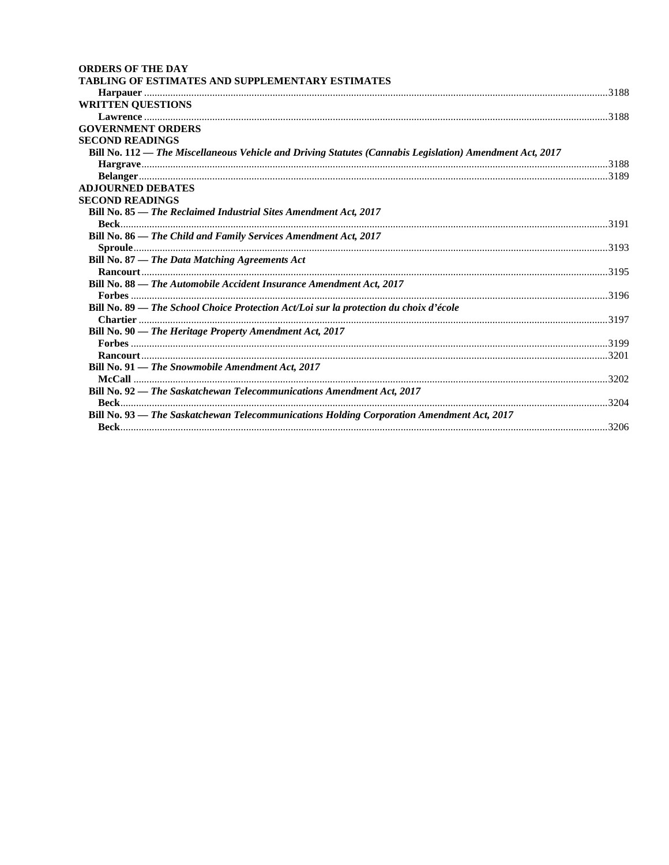| <b>ORDERS OF THE DAY</b>                                                                                 |  |
|----------------------------------------------------------------------------------------------------------|--|
| TABLING OF ESTIMATES AND SUPPLEMENTARY ESTIMATES                                                         |  |
|                                                                                                          |  |
| <b>WRITTEN QUESTIONS</b>                                                                                 |  |
|                                                                                                          |  |
| <b>GOVERNMENT ORDERS</b>                                                                                 |  |
| <b>SECOND READINGS</b>                                                                                   |  |
| Bill No. 112 — The Miscellaneous Vehicle and Driving Statutes (Cannabis Legislation) Amendment Act, 2017 |  |
|                                                                                                          |  |
|                                                                                                          |  |
| <b>ADJOURNED DEBATES</b>                                                                                 |  |
| <b>SECOND READINGS</b>                                                                                   |  |
| Bill No. 85 - The Reclaimed Industrial Sites Amendment Act, 2017                                         |  |
|                                                                                                          |  |
| Bill No. 86 - The Child and Family Services Amendment Act, 2017                                          |  |
|                                                                                                          |  |
| Bill No. 87 - The Data Matching Agreements Act                                                           |  |
|                                                                                                          |  |
| Bill No. 88 - The Automobile Accident Insurance Amendment Act, 2017                                      |  |
|                                                                                                          |  |
| Bill No. 89 — The School Choice Protection Act/Loi sur la protection du choix d'école                    |  |
|                                                                                                          |  |
| Bill No. 90 - The Heritage Property Amendment Act, 2017                                                  |  |
|                                                                                                          |  |
|                                                                                                          |  |
| Bill No. 91 - The Snowmobile Amendment Act, 2017                                                         |  |
|                                                                                                          |  |
| Bill No. 92 - The Saskatchewan Telecommunications Amendment Act, 2017                                    |  |
|                                                                                                          |  |
| Bill No. 93 - The Saskatchewan Telecommunications Holding Corporation Amendment Act, 2017                |  |
|                                                                                                          |  |